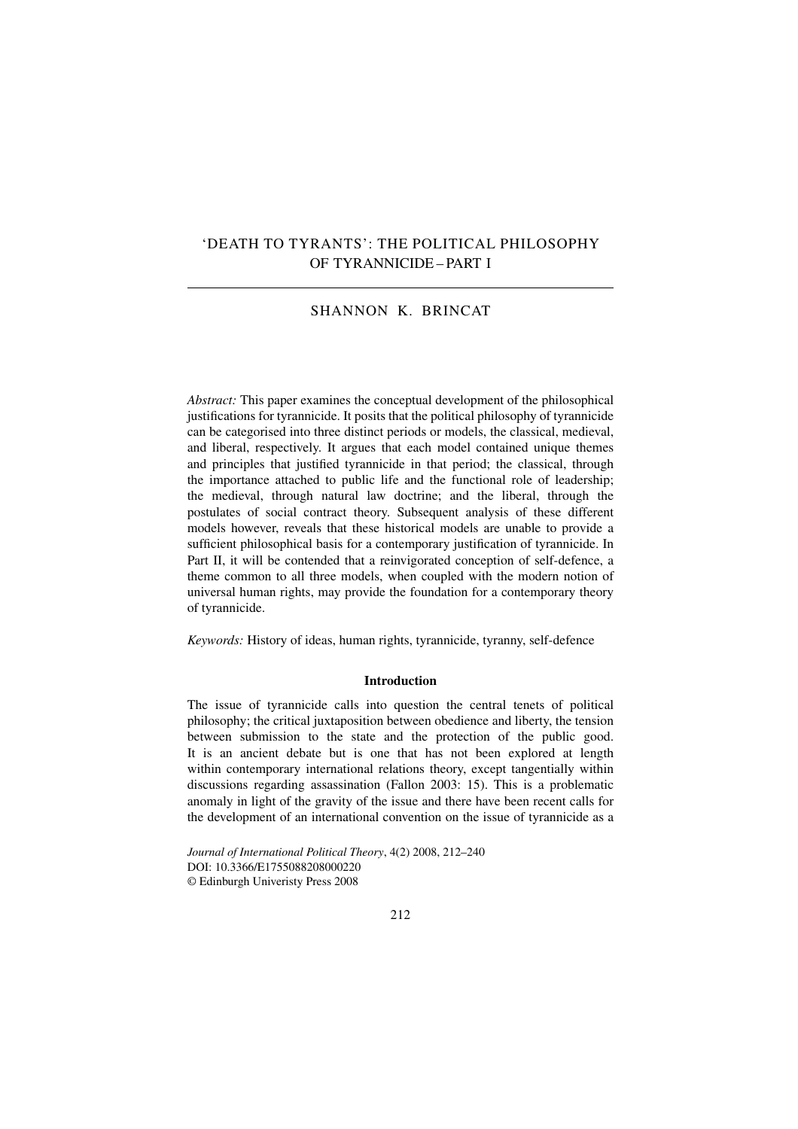# 'DEATH TO TYRANTS': THE POLITICAL PHILOSOPHY OF TYRANNICIDE – PART I

# SHANNON K. BRINCAT

*Abstract:* This paper examines the conceptual development of the philosophical justifications for tyrannicide. It posits that the political philosophy of tyrannicide can be categorised into three distinct periods or models, the classical, medieval, and liberal, respectively. It argues that each model contained unique themes and principles that justified tyrannicide in that period; the classical, through the importance attached to public life and the functional role of leadership; the medieval, through natural law doctrine; and the liberal, through the postulates of social contract theory. Subsequent analysis of these different models however, reveals that these historical models are unable to provide a sufficient philosophical basis for a contemporary justification of tyrannicide. In Part II, it will be contended that a reinvigorated conception of self-defence, a theme common to all three models, when coupled with the modern notion of universal human rights, may provide the foundation for a contemporary theory of tyrannicide.

*Keywords:* History of ideas, human rights, tyrannicide, tyranny, self-defence

# **Introduction**

The issue of tyrannicide calls into question the central tenets of political philosophy; the critical juxtaposition between obedience and liberty, the tension between submission to the state and the protection of the public good. It is an ancient debate but is one that has not been explored at length within contemporary international relations theory, except tangentially within discussions regarding assassination (Fallon 2003: 15). This is a problematic anomaly in light of the gravity of the issue and there have been recent calls for the development of an international convention on the issue of tyrannicide as a

*Journal of International Political Theory*, 4(2) 2008, 212–240 DOI: 10.3366/E1755088208000220 © Edinburgh Univeristy Press 2008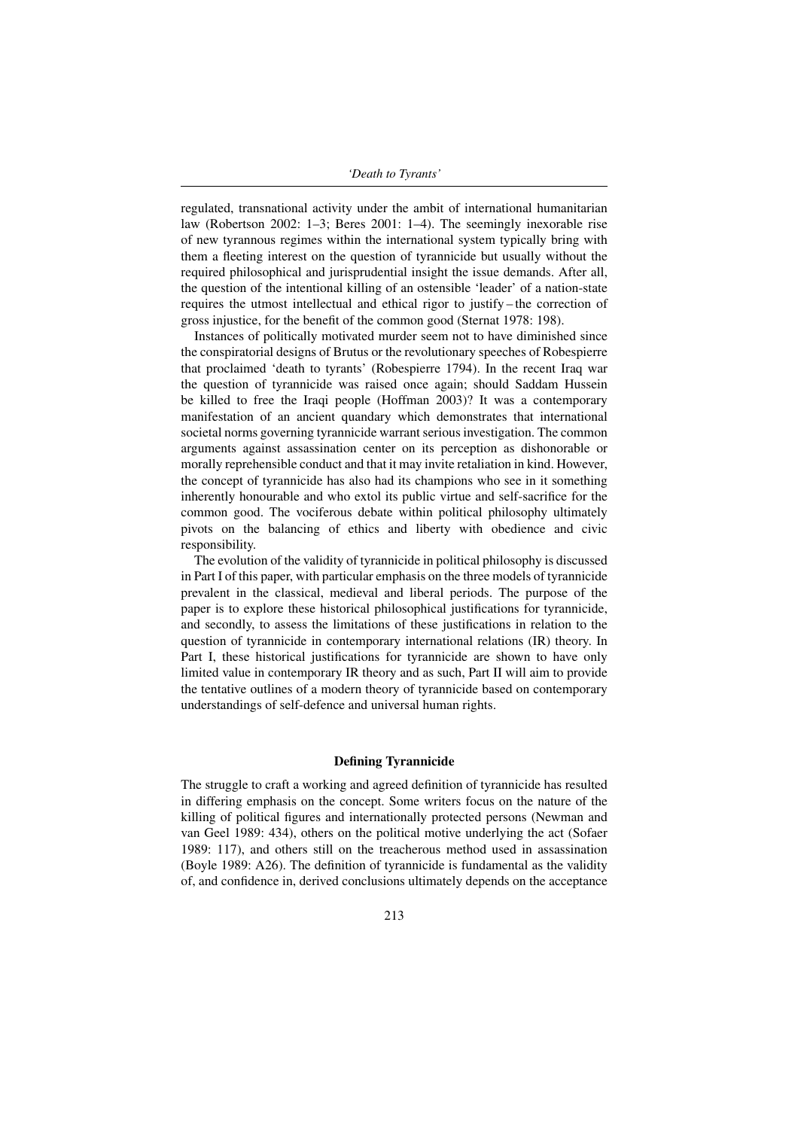regulated, transnational activity under the ambit of international humanitarian law (Robertson 2002: 1–3; Beres 2001: 1–4). The seemingly inexorable rise of new tyrannous regimes within the international system typically bring with them a fleeting interest on the question of tyrannicide but usually without the required philosophical and jurisprudential insight the issue demands. After all, the question of the intentional killing of an ostensible 'leader' of a nation-state requires the utmost intellectual and ethical rigor to justify – the correction of gross injustice, for the benefit of the common good (Sternat 1978: 198).

Instances of politically motivated murder seem not to have diminished since the conspiratorial designs of Brutus or the revolutionary speeches of Robespierre that proclaimed 'death to tyrants' (Robespierre 1794). In the recent Iraq war the question of tyrannicide was raised once again; should Saddam Hussein be killed to free the Iraqi people (Hoffman 2003)? It was a contemporary manifestation of an ancient quandary which demonstrates that international societal norms governing tyrannicide warrant serious investigation. The common arguments against assassination center on its perception as dishonorable or morally reprehensible conduct and that it may invite retaliation in kind. However, the concept of tyrannicide has also had its champions who see in it something inherently honourable and who extol its public virtue and self-sacrifice for the common good. The vociferous debate within political philosophy ultimately pivots on the balancing of ethics and liberty with obedience and civic responsibility.

The evolution of the validity of tyrannicide in political philosophy is discussed in Part I of this paper, with particular emphasis on the three models of tyrannicide prevalent in the classical, medieval and liberal periods. The purpose of the paper is to explore these historical philosophical justifications for tyrannicide, and secondly, to assess the limitations of these justifications in relation to the question of tyrannicide in contemporary international relations (IR) theory. In Part I, these historical justifications for tyrannicide are shown to have only limited value in contemporary IR theory and as such, Part II will aim to provide the tentative outlines of a modern theory of tyrannicide based on contemporary understandings of self-defence and universal human rights.

#### **Defining Tyrannicide**

The struggle to craft a working and agreed definition of tyrannicide has resulted in differing emphasis on the concept. Some writers focus on the nature of the killing of political figures and internationally protected persons (Newman and van Geel 1989: 434), others on the political motive underlying the act (Sofaer 1989: 117), and others still on the treacherous method used in assassination (Boyle 1989: A26). The definition of tyrannicide is fundamental as the validity of, and confidence in, derived conclusions ultimately depends on the acceptance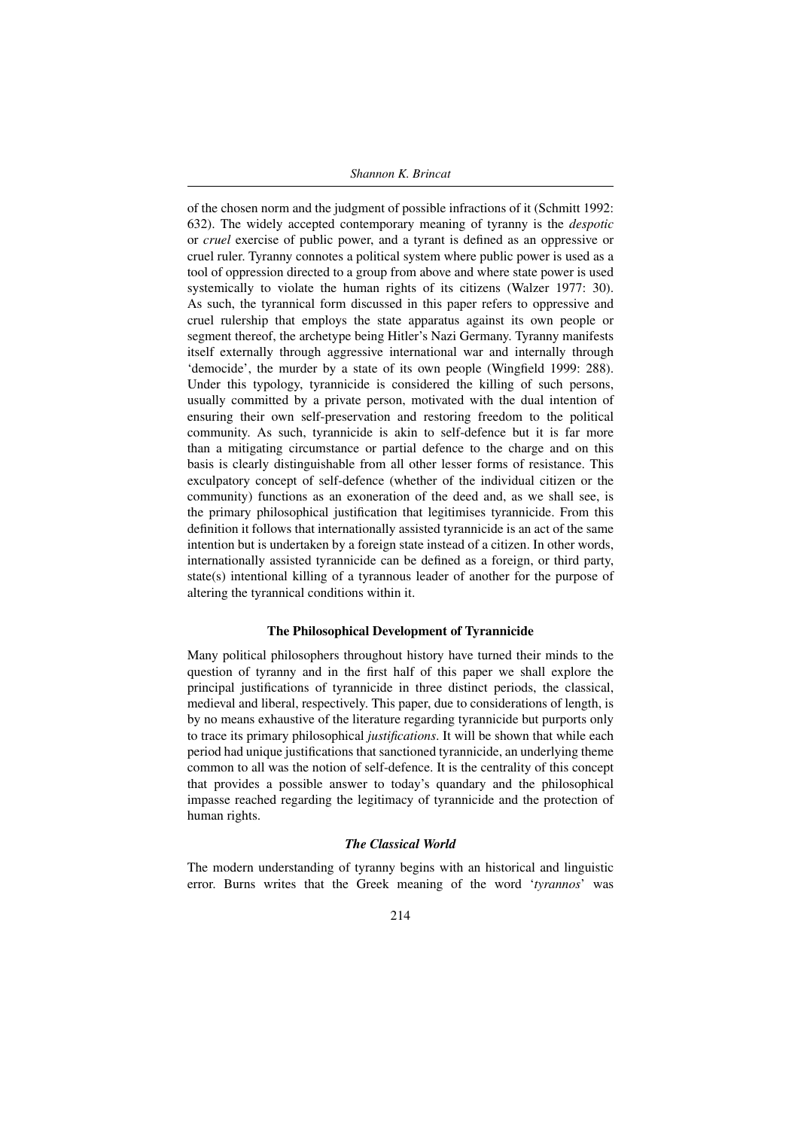*Shannon K. Brincat*

of the chosen norm and the judgment of possible infractions of it (Schmitt 1992: 632). The widely accepted contemporary meaning of tyranny is the *despotic* or *cruel* exercise of public power, and a tyrant is defined as an oppressive or cruel ruler. Tyranny connotes a political system where public power is used as a tool of oppression directed to a group from above and where state power is used systemically to violate the human rights of its citizens (Walzer 1977: 30). As such, the tyrannical form discussed in this paper refers to oppressive and cruel rulership that employs the state apparatus against its own people or segment thereof, the archetype being Hitler's Nazi Germany. Tyranny manifests itself externally through aggressive international war and internally through 'democide', the murder by a state of its own people (Wingfield 1999: 288). Under this typology, tyrannicide is considered the killing of such persons, usually committed by a private person, motivated with the dual intention of ensuring their own self-preservation and restoring freedom to the political community. As such, tyrannicide is akin to self-defence but it is far more than a mitigating circumstance or partial defence to the charge and on this basis is clearly distinguishable from all other lesser forms of resistance. This exculpatory concept of self-defence (whether of the individual citizen or the community) functions as an exoneration of the deed and, as we shall see, is the primary philosophical justification that legitimises tyrannicide. From this definition it follows that internationally assisted tyrannicide is an act of the same intention but is undertaken by a foreign state instead of a citizen. In other words, internationally assisted tyrannicide can be defined as a foreign, or third party, state(s) intentional killing of a tyrannous leader of another for the purpose of altering the tyrannical conditions within it.

#### **The Philosophical Development of Tyrannicide**

Many political philosophers throughout history have turned their minds to the question of tyranny and in the first half of this paper we shall explore the principal justifications of tyrannicide in three distinct periods, the classical, medieval and liberal, respectively. This paper, due to considerations of length, is by no means exhaustive of the literature regarding tyrannicide but purports only to trace its primary philosophical *justifications*. It will be shown that while each period had unique justifications that sanctioned tyrannicide, an underlying theme common to all was the notion of self-defence. It is the centrality of this concept that provides a possible answer to today's quandary and the philosophical impasse reached regarding the legitimacy of tyrannicide and the protection of human rights.

# *The Classical World*

The modern understanding of tyranny begins with an historical and linguistic error. Burns writes that the Greek meaning of the word '*tyrannos*' was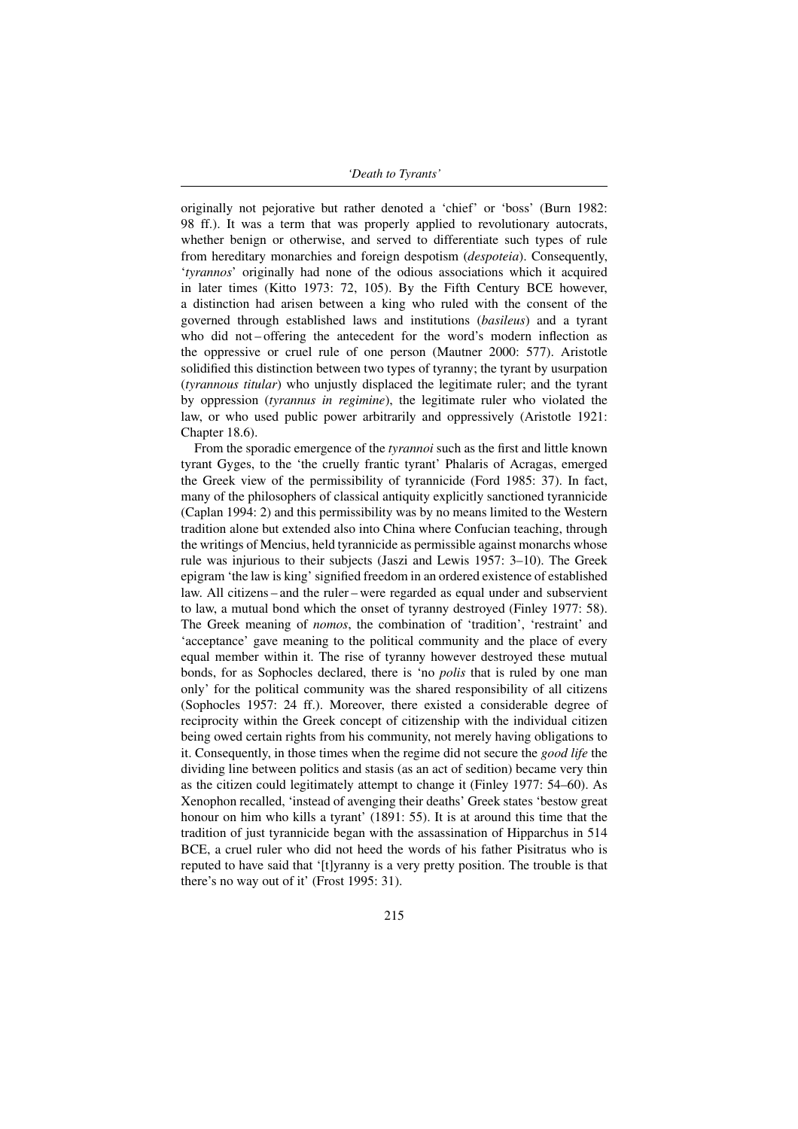originally not pejorative but rather denoted a 'chief' or 'boss' (Burn 1982: 98 ff.). It was a term that was properly applied to revolutionary autocrats, whether benign or otherwise, and served to differentiate such types of rule from hereditary monarchies and foreign despotism (*despoteia*). Consequently, '*tyrannos*' originally had none of the odious associations which it acquired in later times (Kitto 1973: 72, 105). By the Fifth Century BCE however, a distinction had arisen between a king who ruled with the consent of the governed through established laws and institutions (*basileus*) and a tyrant who did not-offering the antecedent for the word's modern inflection as the oppressive or cruel rule of one person (Mautner 2000: 577). Aristotle solidified this distinction between two types of tyranny; the tyrant by usurpation (*tyrannous titular*) who unjustly displaced the legitimate ruler; and the tyrant by oppression (*tyrannus in regimine*), the legitimate ruler who violated the law, or who used public power arbitrarily and oppressively (Aristotle 1921: Chapter 18.6).

From the sporadic emergence of the *tyrannoi* such as the first and little known tyrant Gyges, to the 'the cruelly frantic tyrant' Phalaris of Acragas, emerged the Greek view of the permissibility of tyrannicide (Ford 1985: 37). In fact, many of the philosophers of classical antiquity explicitly sanctioned tyrannicide (Caplan 1994: 2) and this permissibility was by no means limited to the Western tradition alone but extended also into China where Confucian teaching, through the writings of Mencius, held tyrannicide as permissible against monarchs whose rule was injurious to their subjects (Jaszi and Lewis 1957: 3–10). The Greek epigram 'the law is king' signified freedom in an ordered existence of established law. All citizens – and the ruler – were regarded as equal under and subservient to law, a mutual bond which the onset of tyranny destroyed (Finley 1977: 58). The Greek meaning of *nomos*, the combination of 'tradition', 'restraint' and 'acceptance' gave meaning to the political community and the place of every equal member within it. The rise of tyranny however destroyed these mutual bonds, for as Sophocles declared, there is 'no *polis* that is ruled by one man only' for the political community was the shared responsibility of all citizens (Sophocles 1957: 24 ff.). Moreover, there existed a considerable degree of reciprocity within the Greek concept of citizenship with the individual citizen being owed certain rights from his community, not merely having obligations to it. Consequently, in those times when the regime did not secure the *good life* the dividing line between politics and stasis (as an act of sedition) became very thin as the citizen could legitimately attempt to change it (Finley 1977: 54–60). As Xenophon recalled, 'instead of avenging their deaths' Greek states 'bestow great honour on him who kills a tyrant' (1891: 55). It is at around this time that the tradition of just tyrannicide began with the assassination of Hipparchus in 514 BCE, a cruel ruler who did not heed the words of his father Pisitratus who is reputed to have said that '[t]yranny is a very pretty position. The trouble is that there's no way out of it' (Frost 1995: 31).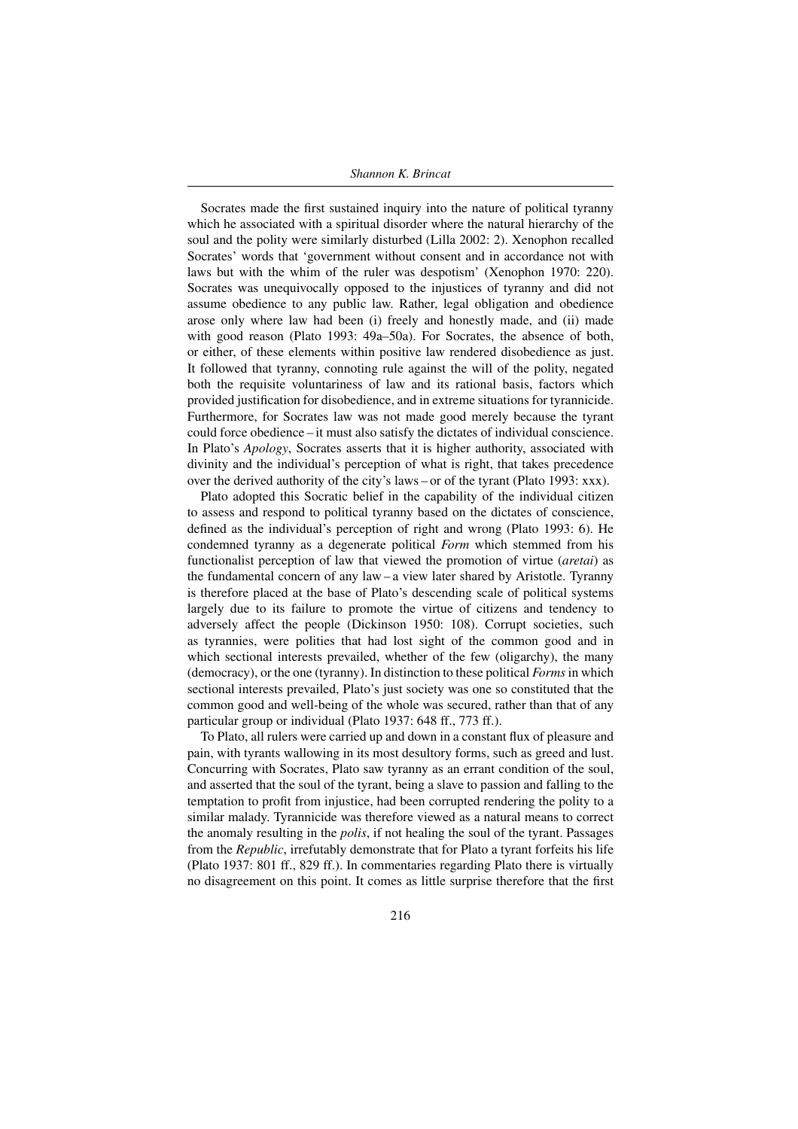# *Shannon K. Brincat*

Socrates made the first sustained inquiry into the nature of political tyranny which he associated with a spiritual disorder where the natural hierarchy of the soul and the polity were similarly disturbed (Lilla 2002: 2). Xenophon recalled Socrates' words that 'government without consent and in accordance not with laws but with the whim of the ruler was despotism' (Xenophon 1970: 220). Socrates was unequivocally opposed to the injustices of tyranny and did not assume obedience to any public law. Rather, legal obligation and obedience arose only where law had been (i) freely and honestly made, and (ii) made with good reason (Plato 1993: 49a–50a). For Socrates, the absence of both, or either, of these elements within positive law rendered disobedience as just. It followed that tyranny, connoting rule against the will of the polity, negated both the requisite voluntariness of law and its rational basis, factors which provided justification for disobedience, and in extreme situations for tyrannicide. Furthermore, for Socrates law was not made good merely because the tyrant could force obedience – it must also satisfy the dictates of individual conscience. In Plato's *Apology*, Socrates asserts that it is higher authority, associated with divinity and the individual's perception of what is right, that takes precedence over the derived authority of the city's laws – or of the tyrant (Plato 1993: xxx).

Plato adopted this Socratic belief in the capability of the individual citizen to assess and respond to political tyranny based on the dictates of conscience, defined as the individual's perception of right and wrong (Plato 1993: 6). He condemned tyranny as a degenerate political *Form* which stemmed from his functionalist perception of law that viewed the promotion of virtue (*aretai*) as the fundamental concern of any law – a view later shared by Aristotle. Tyranny is therefore placed at the base of Plato's descending scale of political systems largely due to its failure to promote the virtue of citizens and tendency to adversely affect the people (Dickinson 1950: 108). Corrupt societies, such as tyrannies, were polities that had lost sight of the common good and in which sectional interests prevailed, whether of the few (oligarchy), the many (democracy), or the one (tyranny). In distinction to these political *Forms*in which sectional interests prevailed, Plato's just society was one so constituted that the common good and well-being of the whole was secured, rather than that of any particular group or individual (Plato 1937: 648 ff., 773 ff.).

To Plato, all rulers were carried up and down in a constant flux of pleasure and pain, with tyrants wallowing in its most desultory forms, such as greed and lust. Concurring with Socrates, Plato saw tyranny as an errant condition of the soul, and asserted that the soul of the tyrant, being a slave to passion and falling to the temptation to profit from injustice, had been corrupted rendering the polity to a similar malady. Tyrannicide was therefore viewed as a natural means to correct the anomaly resulting in the *polis*, if not healing the soul of the tyrant. Passages from the *Republic*, irrefutably demonstrate that for Plato a tyrant forfeits his life (Plato 1937: 801 ff., 829 ff.). In commentaries regarding Plato there is virtually no disagreement on this point. It comes as little surprise therefore that the first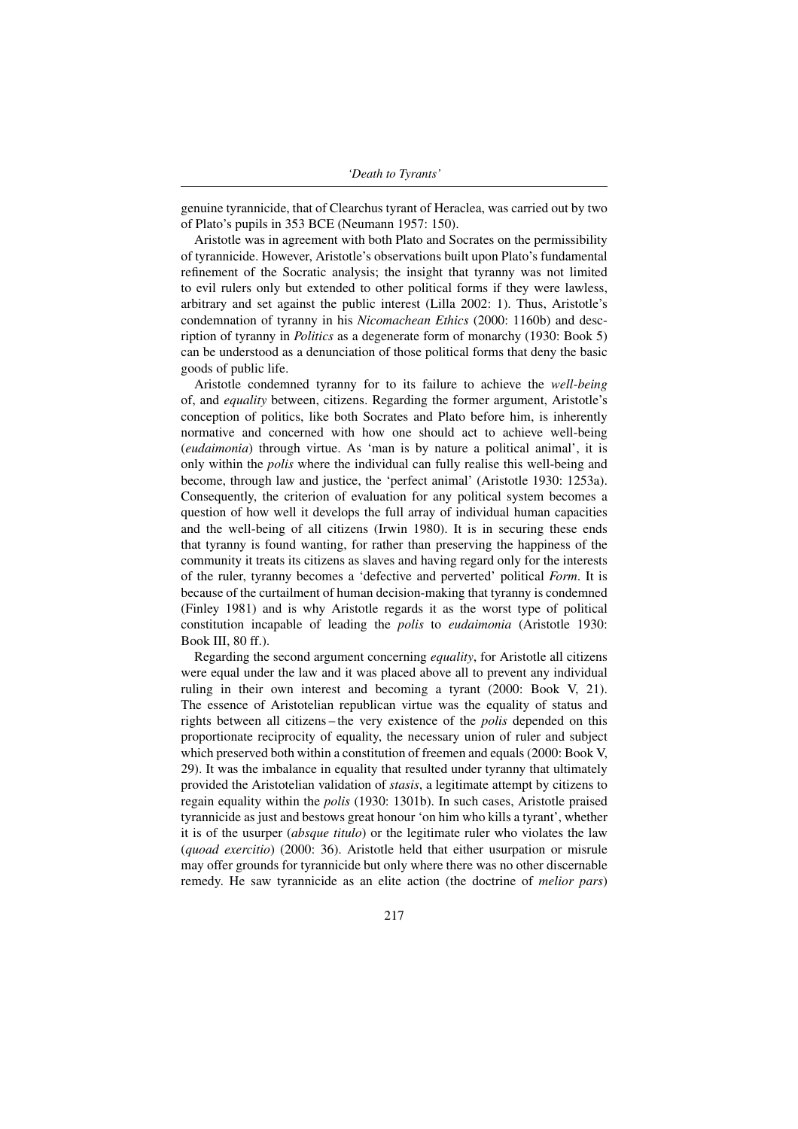genuine tyrannicide, that of Clearchus tyrant of Heraclea, was carried out by two of Plato's pupils in 353 BCE (Neumann 1957: 150).

Aristotle was in agreement with both Plato and Socrates on the permissibility of tyrannicide. However, Aristotle's observations built upon Plato's fundamental refinement of the Socratic analysis; the insight that tyranny was not limited to evil rulers only but extended to other political forms if they were lawless, arbitrary and set against the public interest (Lilla 2002: 1). Thus, Aristotle's condemnation of tyranny in his *Nicomachean Ethics* (2000: 1160b) and description of tyranny in *Politics* as a degenerate form of monarchy (1930: Book 5) can be understood as a denunciation of those political forms that deny the basic goods of public life.

Aristotle condemned tyranny for to its failure to achieve the *well-being* of, and *equality* between, citizens. Regarding the former argument, Aristotle's conception of politics, like both Socrates and Plato before him, is inherently normative and concerned with how one should act to achieve well-being (*eudaimonia*) through virtue. As 'man is by nature a political animal', it is only within the *polis* where the individual can fully realise this well-being and become, through law and justice, the 'perfect animal' (Aristotle 1930: 1253a). Consequently, the criterion of evaluation for any political system becomes a question of how well it develops the full array of individual human capacities and the well-being of all citizens (Irwin 1980). It is in securing these ends that tyranny is found wanting, for rather than preserving the happiness of the community it treats its citizens as slaves and having regard only for the interests of the ruler, tyranny becomes a 'defective and perverted' political *Form*. It is because of the curtailment of human decision-making that tyranny is condemned (Finley 1981) and is why Aristotle regards it as the worst type of political constitution incapable of leading the *polis* to *eudaimonia* (Aristotle 1930: Book III, 80 ff.).

Regarding the second argument concerning *equality*, for Aristotle all citizens were equal under the law and it was placed above all to prevent any individual ruling in their own interest and becoming a tyrant (2000: Book V, 21). The essence of Aristotelian republican virtue was the equality of status and rights between all citizens – the very existence of the *polis* depended on this proportionate reciprocity of equality, the necessary union of ruler and subject which preserved both within a constitution of freemen and equals (2000: Book V, 29). It was the imbalance in equality that resulted under tyranny that ultimately provided the Aristotelian validation of *stasis*, a legitimate attempt by citizens to regain equality within the *polis* (1930: 1301b). In such cases, Aristotle praised tyrannicide as just and bestows great honour 'on him who kills a tyrant', whether it is of the usurper (*absque titulo*) or the legitimate ruler who violates the law (*quoad exercitio*) (2000: 36). Aristotle held that either usurpation or misrule may offer grounds for tyrannicide but only where there was no other discernable remedy. He saw tyrannicide as an elite action (the doctrine of *melior pars*)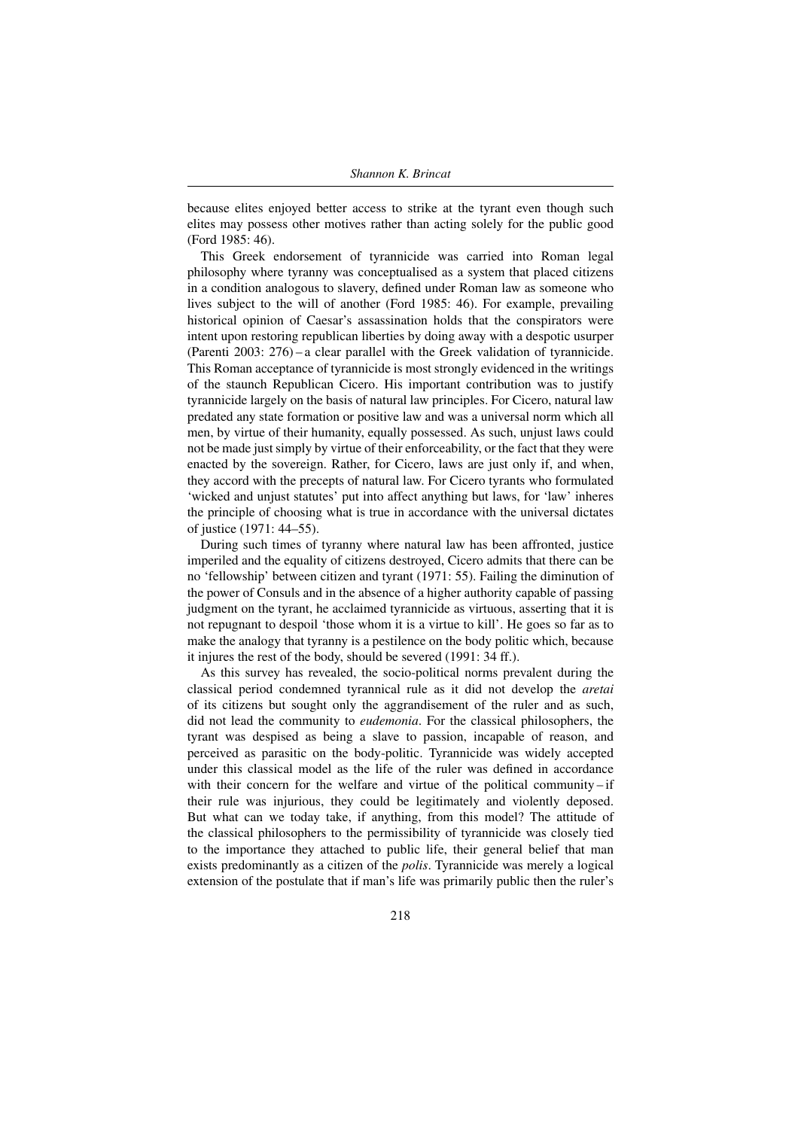because elites enjoyed better access to strike at the tyrant even though such elites may possess other motives rather than acting solely for the public good (Ford 1985: 46).

This Greek endorsement of tyrannicide was carried into Roman legal philosophy where tyranny was conceptualised as a system that placed citizens in a condition analogous to slavery, defined under Roman law as someone who lives subject to the will of another (Ford 1985: 46). For example, prevailing historical opinion of Caesar's assassination holds that the conspirators were intent upon restoring republican liberties by doing away with a despotic usurper (Parenti 2003: 276) – a clear parallel with the Greek validation of tyrannicide. This Roman acceptance of tyrannicide is most strongly evidenced in the writings of the staunch Republican Cicero. His important contribution was to justify tyrannicide largely on the basis of natural law principles. For Cicero, natural law predated any state formation or positive law and was a universal norm which all men, by virtue of their humanity, equally possessed. As such, unjust laws could not be made just simply by virtue of their enforceability, or the fact that they were enacted by the sovereign. Rather, for Cicero, laws are just only if, and when, they accord with the precepts of natural law. For Cicero tyrants who formulated 'wicked and unjust statutes' put into affect anything but laws, for 'law' inheres the principle of choosing what is true in accordance with the universal dictates of justice (1971: 44–55).

During such times of tyranny where natural law has been affronted, justice imperiled and the equality of citizens destroyed, Cicero admits that there can be no 'fellowship' between citizen and tyrant (1971: 55). Failing the diminution of the power of Consuls and in the absence of a higher authority capable of passing judgment on the tyrant, he acclaimed tyrannicide as virtuous, asserting that it is not repugnant to despoil 'those whom it is a virtue to kill'. He goes so far as to make the analogy that tyranny is a pestilence on the body politic which, because it injures the rest of the body, should be severed (1991: 34 ff.).

As this survey has revealed, the socio-political norms prevalent during the classical period condemned tyrannical rule as it did not develop the *aretai* of its citizens but sought only the aggrandisement of the ruler and as such, did not lead the community to *eudemonia*. For the classical philosophers, the tyrant was despised as being a slave to passion, incapable of reason, and perceived as parasitic on the body-politic. Tyrannicide was widely accepted under this classical model as the life of the ruler was defined in accordance with their concern for the welfare and virtue of the political community – if their rule was injurious, they could be legitimately and violently deposed. But what can we today take, if anything, from this model? The attitude of the classical philosophers to the permissibility of tyrannicide was closely tied to the importance they attached to public life, their general belief that man exists predominantly as a citizen of the *polis*. Tyrannicide was merely a logical extension of the postulate that if man's life was primarily public then the ruler's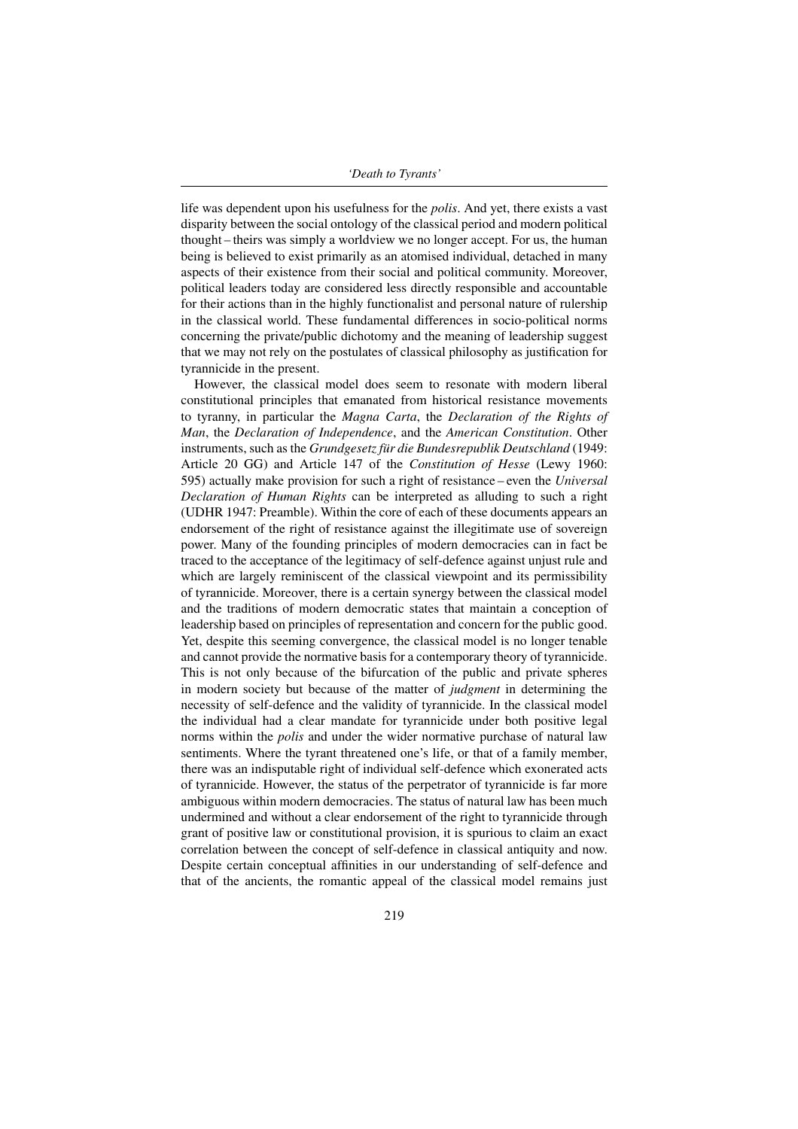life was dependent upon his usefulness for the *polis*. And yet, there exists a vast disparity between the social ontology of the classical period and modern political thought – theirs was simply a worldview we no longer accept. For us, the human being is believed to exist primarily as an atomised individual, detached in many aspects of their existence from their social and political community. Moreover, political leaders today are considered less directly responsible and accountable for their actions than in the highly functionalist and personal nature of rulership in the classical world. These fundamental differences in socio-political norms concerning the private/public dichotomy and the meaning of leadership suggest that we may not rely on the postulates of classical philosophy as justification for tyrannicide in the present.

However, the classical model does seem to resonate with modern liberal constitutional principles that emanated from historical resistance movements to tyranny, in particular the *Magna Carta*, the *Declaration of the Rights of Man*, the *Declaration of Independence*, and the *American Constitution*. Other instruments, such as the *Grundgesetz für die Bundesrepublik Deutschland* (1949: Article 20 GG) and Article 147 of the *Constitution of Hesse* (Lewy 1960: 595) actually make provision for such a right of resistance – even the *Universal Declaration of Human Rights* can be interpreted as alluding to such a right (UDHR 1947: Preamble). Within the core of each of these documents appears an endorsement of the right of resistance against the illegitimate use of sovereign power. Many of the founding principles of modern democracies can in fact be traced to the acceptance of the legitimacy of self-defence against unjust rule and which are largely reminiscent of the classical viewpoint and its permissibility of tyrannicide. Moreover, there is a certain synergy between the classical model and the traditions of modern democratic states that maintain a conception of leadership based on principles of representation and concern for the public good. Yet, despite this seeming convergence, the classical model is no longer tenable and cannot provide the normative basis for a contemporary theory of tyrannicide. This is not only because of the bifurcation of the public and private spheres in modern society but because of the matter of *judgment* in determining the necessity of self-defence and the validity of tyrannicide. In the classical model the individual had a clear mandate for tyrannicide under both positive legal norms within the *polis* and under the wider normative purchase of natural law sentiments. Where the tyrant threatened one's life, or that of a family member, there was an indisputable right of individual self-defence which exonerated acts of tyrannicide. However, the status of the perpetrator of tyrannicide is far more ambiguous within modern democracies. The status of natural law has been much undermined and without a clear endorsement of the right to tyrannicide through grant of positive law or constitutional provision, it is spurious to claim an exact correlation between the concept of self-defence in classical antiquity and now. Despite certain conceptual affinities in our understanding of self-defence and that of the ancients, the romantic appeal of the classical model remains just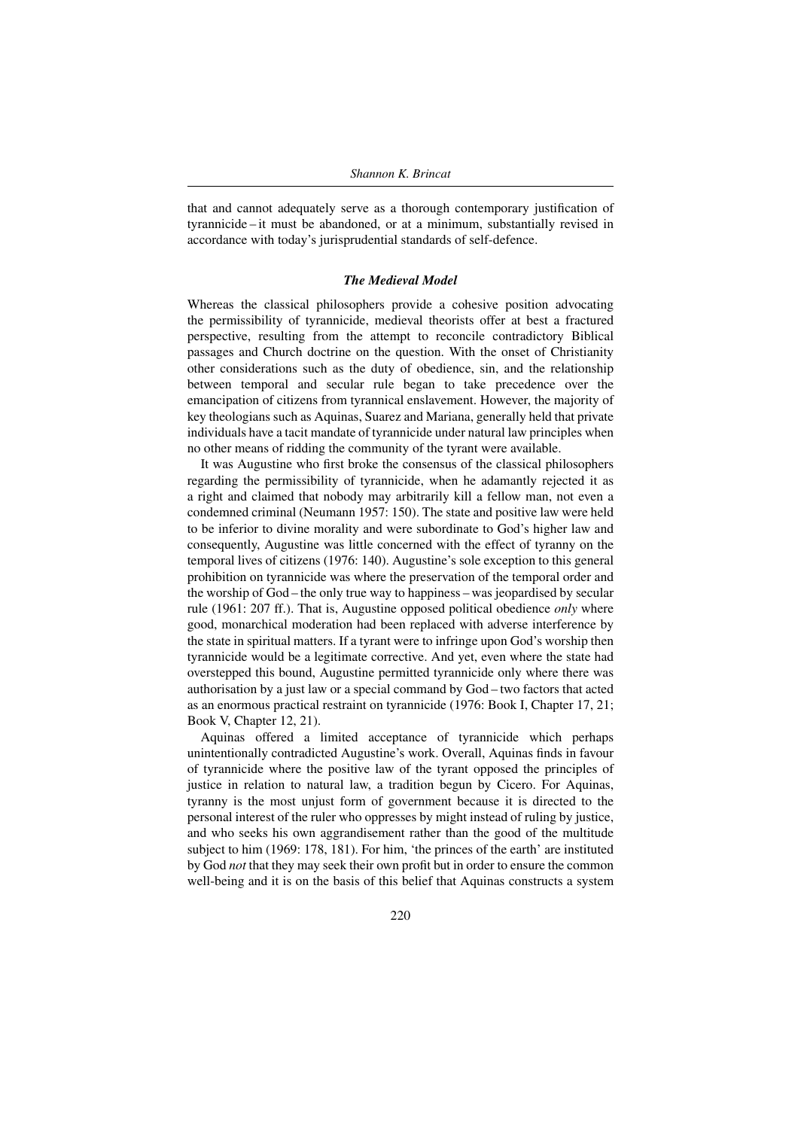that and cannot adequately serve as a thorough contemporary justification of tyrannicide – it must be abandoned, or at a minimum, substantially revised in accordance with today's jurisprudential standards of self-defence.

#### *The Medieval Model*

Whereas the classical philosophers provide a cohesive position advocating the permissibility of tyrannicide, medieval theorists offer at best a fractured perspective, resulting from the attempt to reconcile contradictory Biblical passages and Church doctrine on the question. With the onset of Christianity other considerations such as the duty of obedience, sin, and the relationship between temporal and secular rule began to take precedence over the emancipation of citizens from tyrannical enslavement. However, the majority of key theologians such as Aquinas, Suarez and Mariana, generally held that private individuals have a tacit mandate of tyrannicide under natural law principles when no other means of ridding the community of the tyrant were available.

It was Augustine who first broke the consensus of the classical philosophers regarding the permissibility of tyrannicide, when he adamantly rejected it as a right and claimed that nobody may arbitrarily kill a fellow man, not even a condemned criminal (Neumann 1957: 150). The state and positive law were held to be inferior to divine morality and were subordinate to God's higher law and consequently, Augustine was little concerned with the effect of tyranny on the temporal lives of citizens (1976: 140). Augustine's sole exception to this general prohibition on tyrannicide was where the preservation of the temporal order and the worship of God – the only true way to happiness – was jeopardised by secular rule (1961: 207 ff.). That is, Augustine opposed political obedience *only* where good, monarchical moderation had been replaced with adverse interference by the state in spiritual matters. If a tyrant were to infringe upon God's worship then tyrannicide would be a legitimate corrective. And yet, even where the state had overstepped this bound, Augustine permitted tyrannicide only where there was authorisation by a just law or a special command by God – two factors that acted as an enormous practical restraint on tyrannicide (1976: Book I, Chapter 17, 21; Book V, Chapter 12, 21).

Aquinas offered a limited acceptance of tyrannicide which perhaps unintentionally contradicted Augustine's work. Overall, Aquinas finds in favour of tyrannicide where the positive law of the tyrant opposed the principles of justice in relation to natural law, a tradition begun by Cicero. For Aquinas, tyranny is the most unjust form of government because it is directed to the personal interest of the ruler who oppresses by might instead of ruling by justice, and who seeks his own aggrandisement rather than the good of the multitude subject to him (1969: 178, 181). For him, 'the princes of the earth' are instituted by God *not* that they may seek their own profit but in order to ensure the common well-being and it is on the basis of this belief that Aquinas constructs a system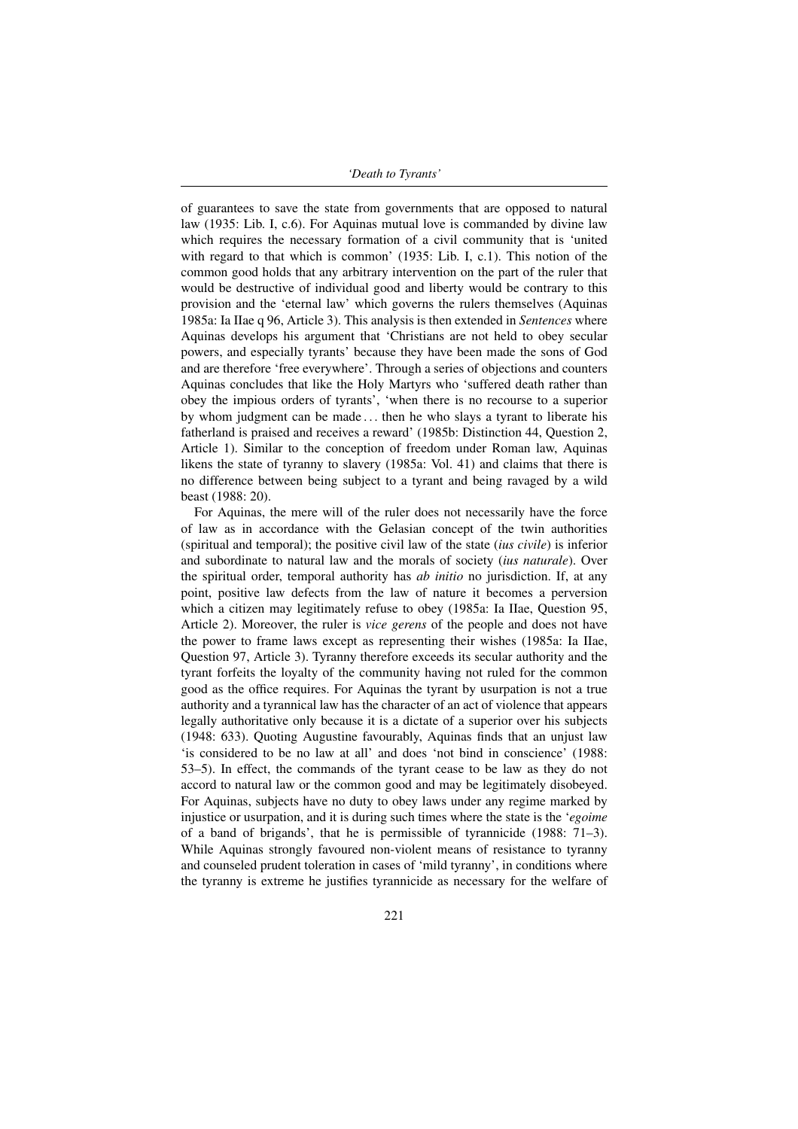of guarantees to save the state from governments that are opposed to natural law (1935: Lib. I, c.6). For Aquinas mutual love is commanded by divine law which requires the necessary formation of a civil community that is 'united with regard to that which is common' (1935: Lib. I, c.1). This notion of the common good holds that any arbitrary intervention on the part of the ruler that would be destructive of individual good and liberty would be contrary to this provision and the 'eternal law' which governs the rulers themselves (Aquinas 1985a: Ia IIae q 96, Article 3). This analysis is then extended in *Sentences* where Aquinas develops his argument that 'Christians are not held to obey secular powers, and especially tyrants' because they have been made the sons of God and are therefore 'free everywhere'. Through a series of objections and counters Aquinas concludes that like the Holy Martyrs who 'suffered death rather than obey the impious orders of tyrants', 'when there is no recourse to a superior by whom judgment can be made . . . then he who slays a tyrant to liberate his fatherland is praised and receives a reward' (1985b: Distinction 44, Question 2, Article 1). Similar to the conception of freedom under Roman law, Aquinas likens the state of tyranny to slavery (1985a: Vol. 41) and claims that there is no difference between being subject to a tyrant and being ravaged by a wild beast (1988: 20).

For Aquinas, the mere will of the ruler does not necessarily have the force of law as in accordance with the Gelasian concept of the twin authorities (spiritual and temporal); the positive civil law of the state (*ius civile*) is inferior and subordinate to natural law and the morals of society (*ius naturale*). Over the spiritual order, temporal authority has *ab initio* no jurisdiction. If, at any point, positive law defects from the law of nature it becomes a perversion which a citizen may legitimately refuse to obey (1985a: Ia IIae, Question 95, Article 2). Moreover, the ruler is *vice gerens* of the people and does not have the power to frame laws except as representing their wishes (1985a: Ia IIae, Question 97, Article 3). Tyranny therefore exceeds its secular authority and the tyrant forfeits the loyalty of the community having not ruled for the common good as the office requires. For Aquinas the tyrant by usurpation is not a true authority and a tyrannical law has the character of an act of violence that appears legally authoritative only because it is a dictate of a superior over his subjects (1948: 633). Quoting Augustine favourably, Aquinas finds that an unjust law 'is considered to be no law at all' and does 'not bind in conscience' (1988: 53–5). In effect, the commands of the tyrant cease to be law as they do not accord to natural law or the common good and may be legitimately disobeyed. For Aquinas, subjects have no duty to obey laws under any regime marked by injustice or usurpation, and it is during such times where the state is the '*egoime* of a band of brigands', that he is permissible of tyrannicide (1988: 71–3). While Aquinas strongly favoured non-violent means of resistance to tyranny and counseled prudent toleration in cases of 'mild tyranny', in conditions where the tyranny is extreme he justifies tyrannicide as necessary for the welfare of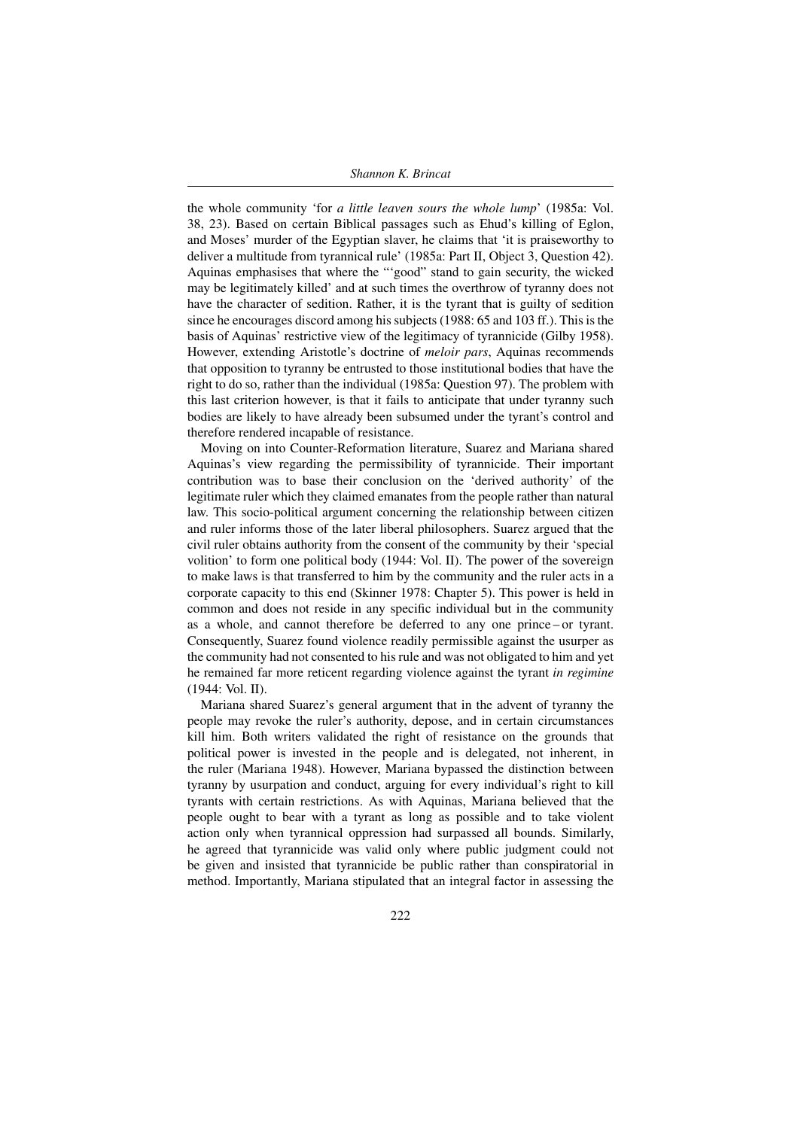*Shannon K. Brincat*

the whole community 'for *a little leaven sours the whole lump*' (1985a: Vol. 38, 23). Based on certain Biblical passages such as Ehud's killing of Eglon, and Moses' murder of the Egyptian slaver, he claims that 'it is praiseworthy to deliver a multitude from tyrannical rule' (1985a: Part II, Object 3, Question 42). Aquinas emphasises that where the "'good" stand to gain security, the wicked may be legitimately killed' and at such times the overthrow of tyranny does not have the character of sedition. Rather, it is the tyrant that is guilty of sedition since he encourages discord among his subjects (1988: 65 and 103 ff.). This is the basis of Aquinas' restrictive view of the legitimacy of tyrannicide (Gilby 1958). However, extending Aristotle's doctrine of *meloir pars*, Aquinas recommends that opposition to tyranny be entrusted to those institutional bodies that have the right to do so, rather than the individual (1985a: Question 97). The problem with this last criterion however, is that it fails to anticipate that under tyranny such bodies are likely to have already been subsumed under the tyrant's control and therefore rendered incapable of resistance.

Moving on into Counter-Reformation literature, Suarez and Mariana shared Aquinas's view regarding the permissibility of tyrannicide. Their important contribution was to base their conclusion on the 'derived authority' of the legitimate ruler which they claimed emanates from the people rather than natural law. This socio-political argument concerning the relationship between citizen and ruler informs those of the later liberal philosophers. Suarez argued that the civil ruler obtains authority from the consent of the community by their 'special volition' to form one political body (1944: Vol. II). The power of the sovereign to make laws is that transferred to him by the community and the ruler acts in a corporate capacity to this end (Skinner 1978: Chapter 5). This power is held in common and does not reside in any specific individual but in the community as a whole, and cannot therefore be deferred to any one prince – or tyrant. Consequently, Suarez found violence readily permissible against the usurper as the community had not consented to his rule and was not obligated to him and yet he remained far more reticent regarding violence against the tyrant *in regimine* (1944: Vol. II).

Mariana shared Suarez's general argument that in the advent of tyranny the people may revoke the ruler's authority, depose, and in certain circumstances kill him. Both writers validated the right of resistance on the grounds that political power is invested in the people and is delegated, not inherent, in the ruler (Mariana 1948). However, Mariana bypassed the distinction between tyranny by usurpation and conduct, arguing for every individual's right to kill tyrants with certain restrictions. As with Aquinas, Mariana believed that the people ought to bear with a tyrant as long as possible and to take violent action only when tyrannical oppression had surpassed all bounds. Similarly, he agreed that tyrannicide was valid only where public judgment could not be given and insisted that tyrannicide be public rather than conspiratorial in method. Importantly, Mariana stipulated that an integral factor in assessing the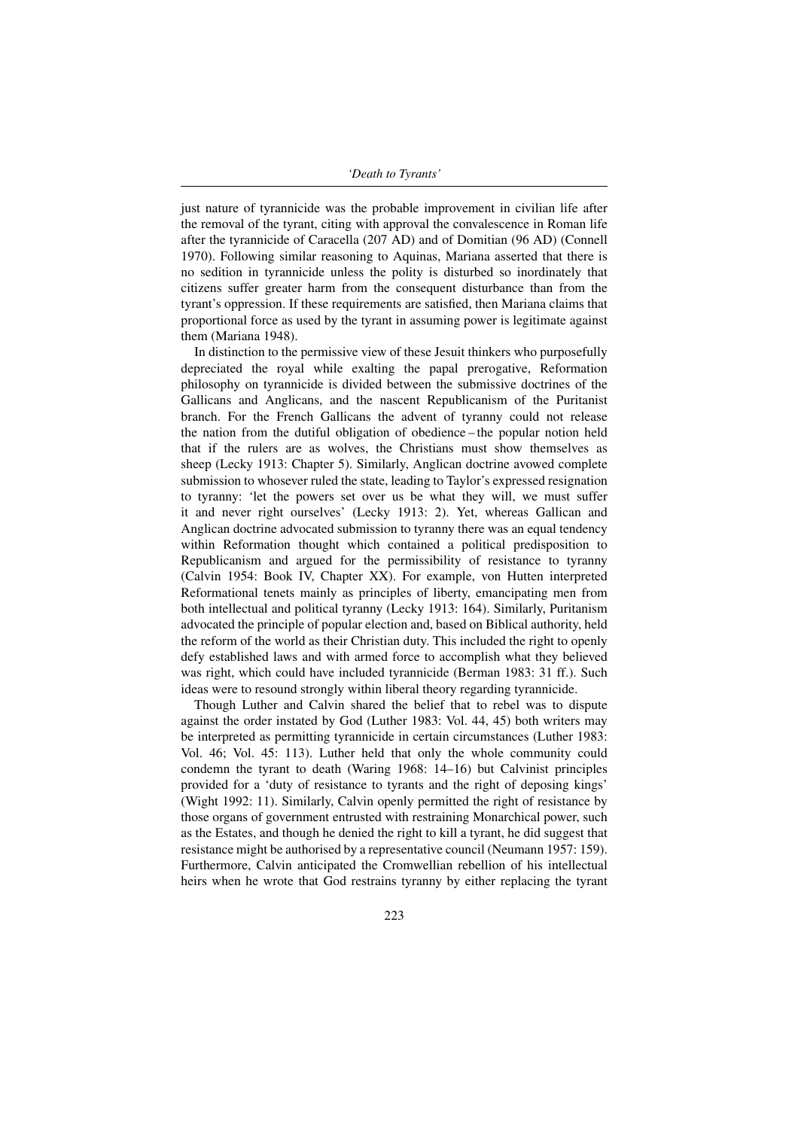just nature of tyrannicide was the probable improvement in civilian life after the removal of the tyrant, citing with approval the convalescence in Roman life after the tyrannicide of Caracella (207 AD) and of Domitian (96 AD) (Connell 1970). Following similar reasoning to Aquinas, Mariana asserted that there is no sedition in tyrannicide unless the polity is disturbed so inordinately that citizens suffer greater harm from the consequent disturbance than from the tyrant's oppression. If these requirements are satisfied, then Mariana claims that proportional force as used by the tyrant in assuming power is legitimate against them (Mariana 1948).

In distinction to the permissive view of these Jesuit thinkers who purposefully depreciated the royal while exalting the papal prerogative, Reformation philosophy on tyrannicide is divided between the submissive doctrines of the Gallicans and Anglicans, and the nascent Republicanism of the Puritanist branch. For the French Gallicans the advent of tyranny could not release the nation from the dutiful obligation of obedience – the popular notion held that if the rulers are as wolves, the Christians must show themselves as sheep (Lecky 1913: Chapter 5). Similarly, Anglican doctrine avowed complete submission to whosever ruled the state, leading to Taylor's expressed resignation to tyranny: 'let the powers set over us be what they will, we must suffer it and never right ourselves' (Lecky 1913: 2). Yet, whereas Gallican and Anglican doctrine advocated submission to tyranny there was an equal tendency within Reformation thought which contained a political predisposition to Republicanism and argued for the permissibility of resistance to tyranny (Calvin 1954: Book IV, Chapter XX). For example, von Hutten interpreted Reformational tenets mainly as principles of liberty, emancipating men from both intellectual and political tyranny (Lecky 1913: 164). Similarly, Puritanism advocated the principle of popular election and, based on Biblical authority, held the reform of the world as their Christian duty. This included the right to openly defy established laws and with armed force to accomplish what they believed was right, which could have included tyrannicide (Berman 1983: 31 ff.). Such ideas were to resound strongly within liberal theory regarding tyrannicide.

Though Luther and Calvin shared the belief that to rebel was to dispute against the order instated by God (Luther 1983: Vol. 44, 45) both writers may be interpreted as permitting tyrannicide in certain circumstances (Luther 1983: Vol. 46; Vol. 45: 113). Luther held that only the whole community could condemn the tyrant to death (Waring 1968: 14–16) but Calvinist principles provided for a 'duty of resistance to tyrants and the right of deposing kings' (Wight 1992: 11). Similarly, Calvin openly permitted the right of resistance by those organs of government entrusted with restraining Monarchical power, such as the Estates, and though he denied the right to kill a tyrant, he did suggest that resistance might be authorised by a representative council (Neumann 1957: 159). Furthermore, Calvin anticipated the Cromwellian rebellion of his intellectual heirs when he wrote that God restrains tyranny by either replacing the tyrant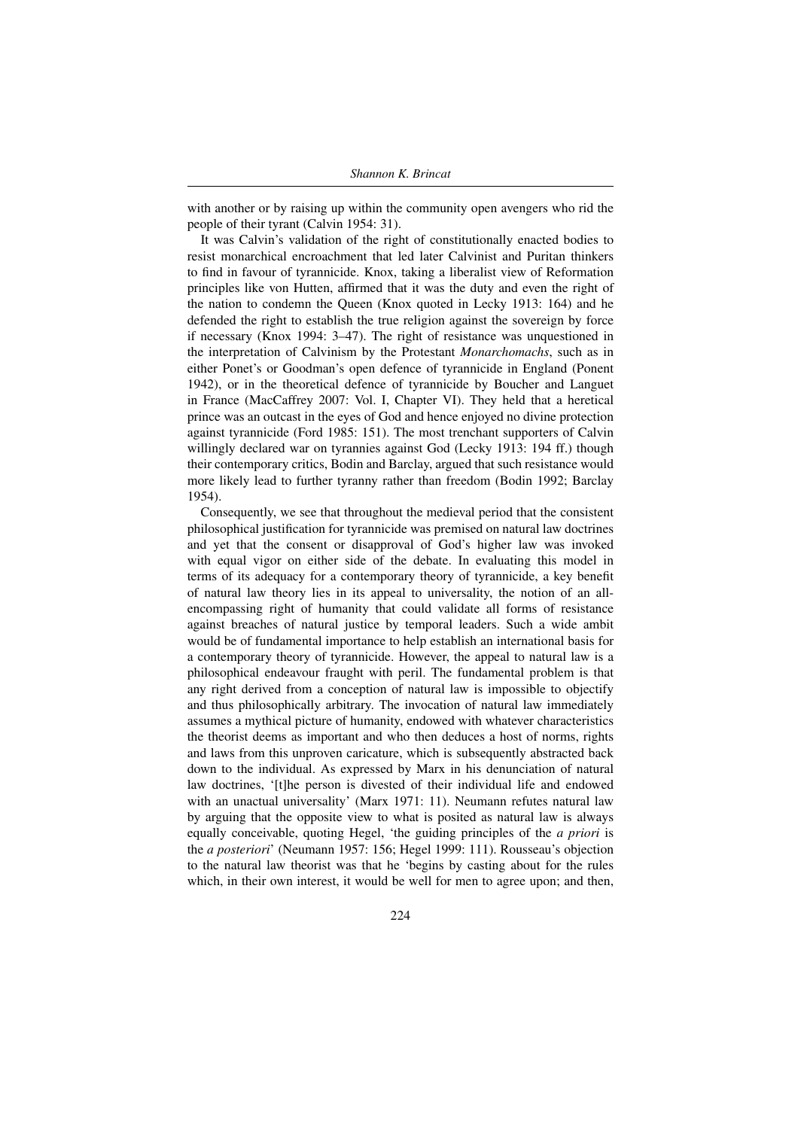with another or by raising up within the community open avengers who rid the people of their tyrant (Calvin 1954: 31).

It was Calvin's validation of the right of constitutionally enacted bodies to resist monarchical encroachment that led later Calvinist and Puritan thinkers to find in favour of tyrannicide. Knox, taking a liberalist view of Reformation principles like von Hutten, affirmed that it was the duty and even the right of the nation to condemn the Queen (Knox quoted in Lecky 1913: 164) and he defended the right to establish the true religion against the sovereign by force if necessary (Knox 1994: 3–47). The right of resistance was unquestioned in the interpretation of Calvinism by the Protestant *Monarchomachs*, such as in either Ponet's or Goodman's open defence of tyrannicide in England (Ponent 1942), or in the theoretical defence of tyrannicide by Boucher and Languet in France (MacCaffrey 2007: Vol. I, Chapter VI). They held that a heretical prince was an outcast in the eyes of God and hence enjoyed no divine protection against tyrannicide (Ford 1985: 151). The most trenchant supporters of Calvin willingly declared war on tyrannies against God (Lecky 1913: 194 ff.) though their contemporary critics, Bodin and Barclay, argued that such resistance would more likely lead to further tyranny rather than freedom (Bodin 1992; Barclay 1954).

Consequently, we see that throughout the medieval period that the consistent philosophical justification for tyrannicide was premised on natural law doctrines and yet that the consent or disapproval of God's higher law was invoked with equal vigor on either side of the debate. In evaluating this model in terms of its adequacy for a contemporary theory of tyrannicide, a key benefit of natural law theory lies in its appeal to universality, the notion of an allencompassing right of humanity that could validate all forms of resistance against breaches of natural justice by temporal leaders. Such a wide ambit would be of fundamental importance to help establish an international basis for a contemporary theory of tyrannicide. However, the appeal to natural law is a philosophical endeavour fraught with peril. The fundamental problem is that any right derived from a conception of natural law is impossible to objectify and thus philosophically arbitrary. The invocation of natural law immediately assumes a mythical picture of humanity, endowed with whatever characteristics the theorist deems as important and who then deduces a host of norms, rights and laws from this unproven caricature, which is subsequently abstracted back down to the individual. As expressed by Marx in his denunciation of natural law doctrines, '[t]he person is divested of their individual life and endowed with an unactual universality' (Marx 1971: 11). Neumann refutes natural law by arguing that the opposite view to what is posited as natural law is always equally conceivable, quoting Hegel, 'the guiding principles of the *a priori* is the *a posteriori*' (Neumann 1957: 156; Hegel 1999: 111). Rousseau's objection to the natural law theorist was that he 'begins by casting about for the rules which, in their own interest, it would be well for men to agree upon; and then,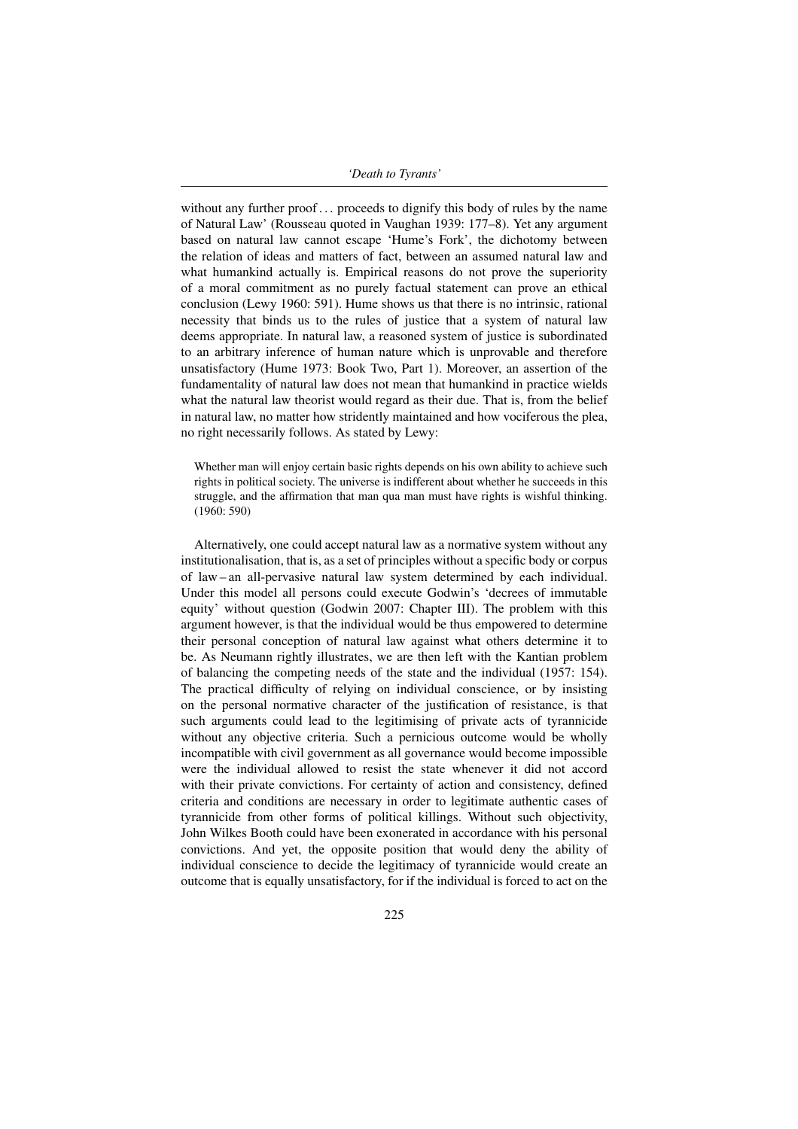without any further proof ... proceeds to dignify this body of rules by the name of Natural Law' (Rousseau quoted in Vaughan 1939: 177–8). Yet any argument based on natural law cannot escape 'Hume's Fork', the dichotomy between the relation of ideas and matters of fact, between an assumed natural law and what humankind actually is. Empirical reasons do not prove the superiority of a moral commitment as no purely factual statement can prove an ethical conclusion (Lewy 1960: 591). Hume shows us that there is no intrinsic, rational necessity that binds us to the rules of justice that a system of natural law deems appropriate. In natural law, a reasoned system of justice is subordinated to an arbitrary inference of human nature which is unprovable and therefore unsatisfactory (Hume 1973: Book Two, Part 1). Moreover, an assertion of the fundamentality of natural law does not mean that humankind in practice wields what the natural law theorist would regard as their due. That is, from the belief in natural law, no matter how stridently maintained and how vociferous the plea, no right necessarily follows. As stated by Lewy:

Whether man will enjoy certain basic rights depends on his own ability to achieve such rights in political society. The universe is indifferent about whether he succeeds in this struggle, and the affirmation that man qua man must have rights is wishful thinking. (1960: 590)

Alternatively, one could accept natural law as a normative system without any institutionalisation, that is, as a set of principles without a specific body or corpus of law – an all-pervasive natural law system determined by each individual. Under this model all persons could execute Godwin's 'decrees of immutable equity' without question (Godwin 2007: Chapter III). The problem with this argument however, is that the individual would be thus empowered to determine their personal conception of natural law against what others determine it to be. As Neumann rightly illustrates, we are then left with the Kantian problem of balancing the competing needs of the state and the individual (1957: 154). The practical difficulty of relying on individual conscience, or by insisting on the personal normative character of the justification of resistance, is that such arguments could lead to the legitimising of private acts of tyrannicide without any objective criteria. Such a pernicious outcome would be wholly incompatible with civil government as all governance would become impossible were the individual allowed to resist the state whenever it did not accord with their private convictions. For certainty of action and consistency, defined criteria and conditions are necessary in order to legitimate authentic cases of tyrannicide from other forms of political killings. Without such objectivity, John Wilkes Booth could have been exonerated in accordance with his personal convictions. And yet, the opposite position that would deny the ability of individual conscience to decide the legitimacy of tyrannicide would create an outcome that is equally unsatisfactory, for if the individual is forced to act on the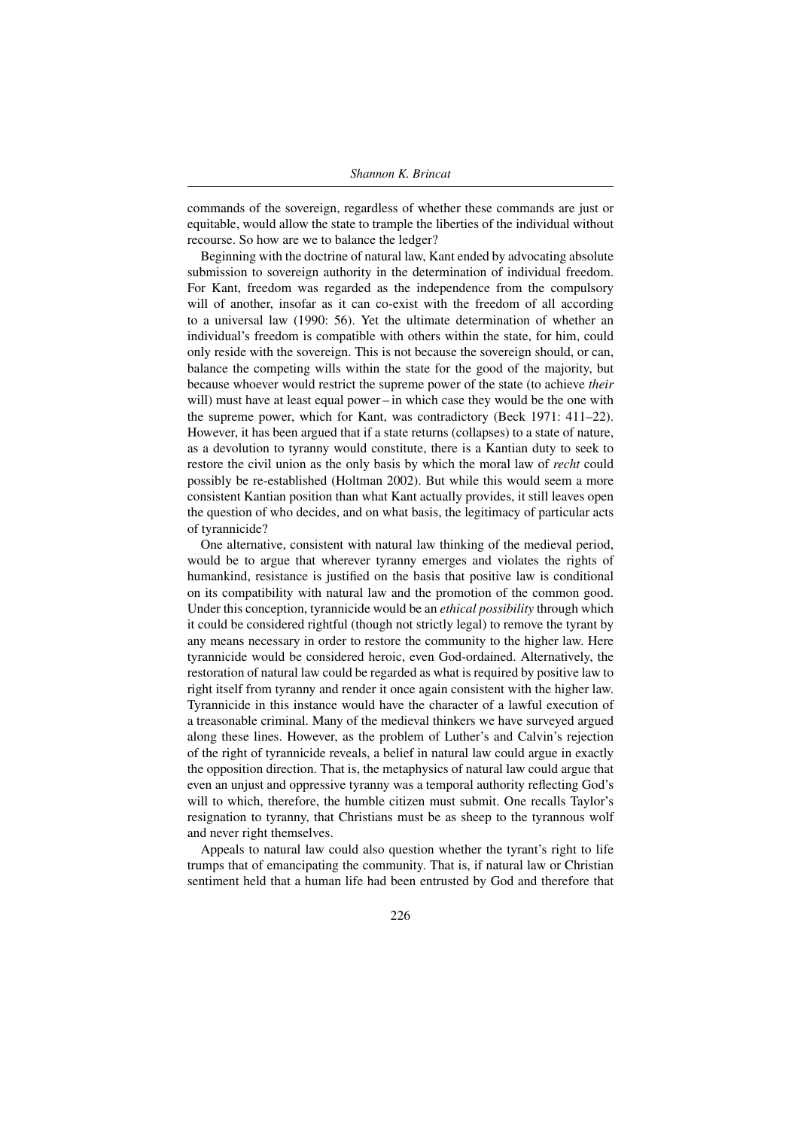commands of the sovereign, regardless of whether these commands are just or equitable, would allow the state to trample the liberties of the individual without recourse. So how are we to balance the ledger?

Beginning with the doctrine of natural law, Kant ended by advocating absolute submission to sovereign authority in the determination of individual freedom. For Kant, freedom was regarded as the independence from the compulsory will of another, insofar as it can co-exist with the freedom of all according to a universal law (1990: 56). Yet the ultimate determination of whether an individual's freedom is compatible with others within the state, for him, could only reside with the sovereign. This is not because the sovereign should, or can, balance the competing wills within the state for the good of the majority, but because whoever would restrict the supreme power of the state (to achieve *their* will) must have at least equal power – in which case they would be the one with the supreme power, which for Kant, was contradictory (Beck 1971: 411–22). However, it has been argued that if a state returns (collapses) to a state of nature, as a devolution to tyranny would constitute, there is a Kantian duty to seek to restore the civil union as the only basis by which the moral law of *recht* could possibly be re-established (Holtman 2002). But while this would seem a more consistent Kantian position than what Kant actually provides, it still leaves open the question of who decides, and on what basis, the legitimacy of particular acts of tyrannicide?

One alternative, consistent with natural law thinking of the medieval period, would be to argue that wherever tyranny emerges and violates the rights of humankind, resistance is justified on the basis that positive law is conditional on its compatibility with natural law and the promotion of the common good. Under this conception, tyrannicide would be an *ethical possibility* through which it could be considered rightful (though not strictly legal) to remove the tyrant by any means necessary in order to restore the community to the higher law. Here tyrannicide would be considered heroic, even God-ordained. Alternatively, the restoration of natural law could be regarded as what is required by positive law to right itself from tyranny and render it once again consistent with the higher law. Tyrannicide in this instance would have the character of a lawful execution of a treasonable criminal. Many of the medieval thinkers we have surveyed argued along these lines. However, as the problem of Luther's and Calvin's rejection of the right of tyrannicide reveals, a belief in natural law could argue in exactly the opposition direction. That is, the metaphysics of natural law could argue that even an unjust and oppressive tyranny was a temporal authority reflecting God's will to which, therefore, the humble citizen must submit. One recalls Taylor's resignation to tyranny, that Christians must be as sheep to the tyrannous wolf and never right themselves.

Appeals to natural law could also question whether the tyrant's right to life trumps that of emancipating the community. That is, if natural law or Christian sentiment held that a human life had been entrusted by God and therefore that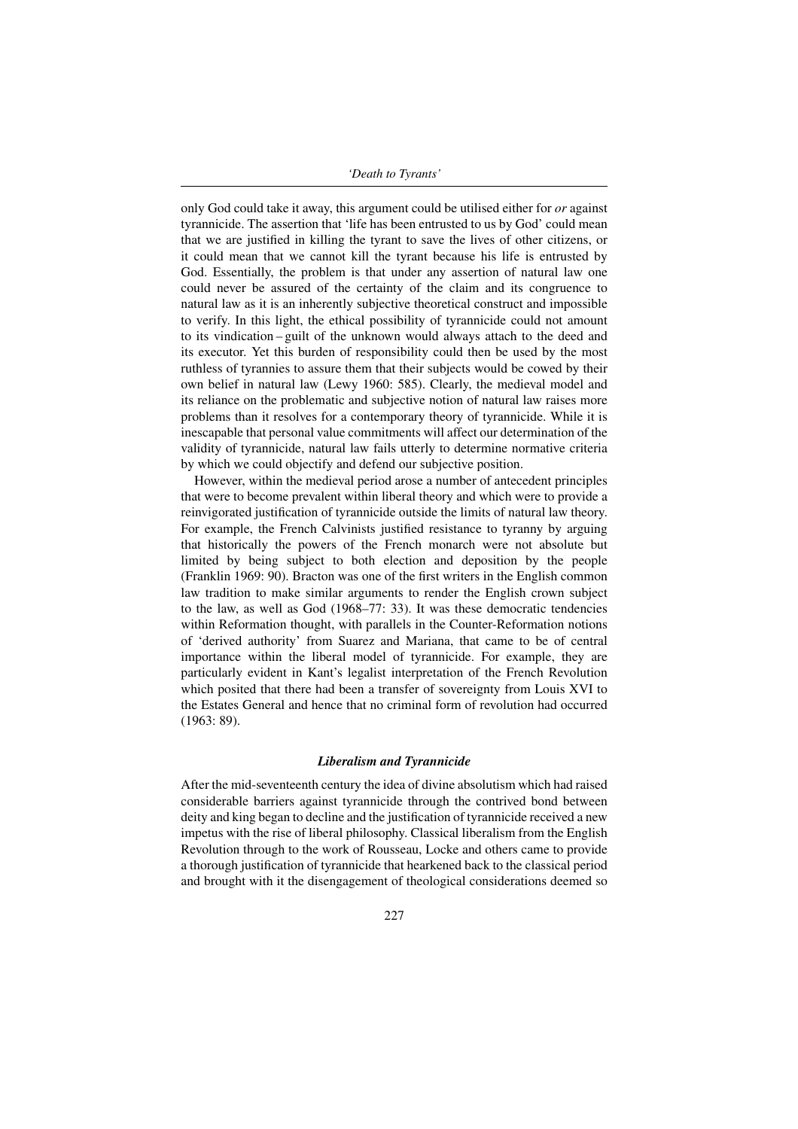only God could take it away, this argument could be utilised either for *or* against tyrannicide. The assertion that 'life has been entrusted to us by God' could mean that we are justified in killing the tyrant to save the lives of other citizens, or it could mean that we cannot kill the tyrant because his life is entrusted by God. Essentially, the problem is that under any assertion of natural law one could never be assured of the certainty of the claim and its congruence to natural law as it is an inherently subjective theoretical construct and impossible to verify. In this light, the ethical possibility of tyrannicide could not amount to its vindication – guilt of the unknown would always attach to the deed and its executor. Yet this burden of responsibility could then be used by the most ruthless of tyrannies to assure them that their subjects would be cowed by their own belief in natural law (Lewy 1960: 585). Clearly, the medieval model and its reliance on the problematic and subjective notion of natural law raises more problems than it resolves for a contemporary theory of tyrannicide. While it is inescapable that personal value commitments will affect our determination of the validity of tyrannicide, natural law fails utterly to determine normative criteria by which we could objectify and defend our subjective position.

However, within the medieval period arose a number of antecedent principles that were to become prevalent within liberal theory and which were to provide a reinvigorated justification of tyrannicide outside the limits of natural law theory. For example, the French Calvinists justified resistance to tyranny by arguing that historically the powers of the French monarch were not absolute but limited by being subject to both election and deposition by the people (Franklin 1969: 90). Bracton was one of the first writers in the English common law tradition to make similar arguments to render the English crown subject to the law, as well as God (1968–77: 33). It was these democratic tendencies within Reformation thought, with parallels in the Counter-Reformation notions of 'derived authority' from Suarez and Mariana, that came to be of central importance within the liberal model of tyrannicide. For example, they are particularly evident in Kant's legalist interpretation of the French Revolution which posited that there had been a transfer of sovereignty from Louis XVI to the Estates General and hence that no criminal form of revolution had occurred (1963: 89).

# *Liberalism and Tyrannicide*

After the mid-seventeenth century the idea of divine absolutism which had raised considerable barriers against tyrannicide through the contrived bond between deity and king began to decline and the justification of tyrannicide received a new impetus with the rise of liberal philosophy. Classical liberalism from the English Revolution through to the work of Rousseau, Locke and others came to provide a thorough justification of tyrannicide that hearkened back to the classical period and brought with it the disengagement of theological considerations deemed so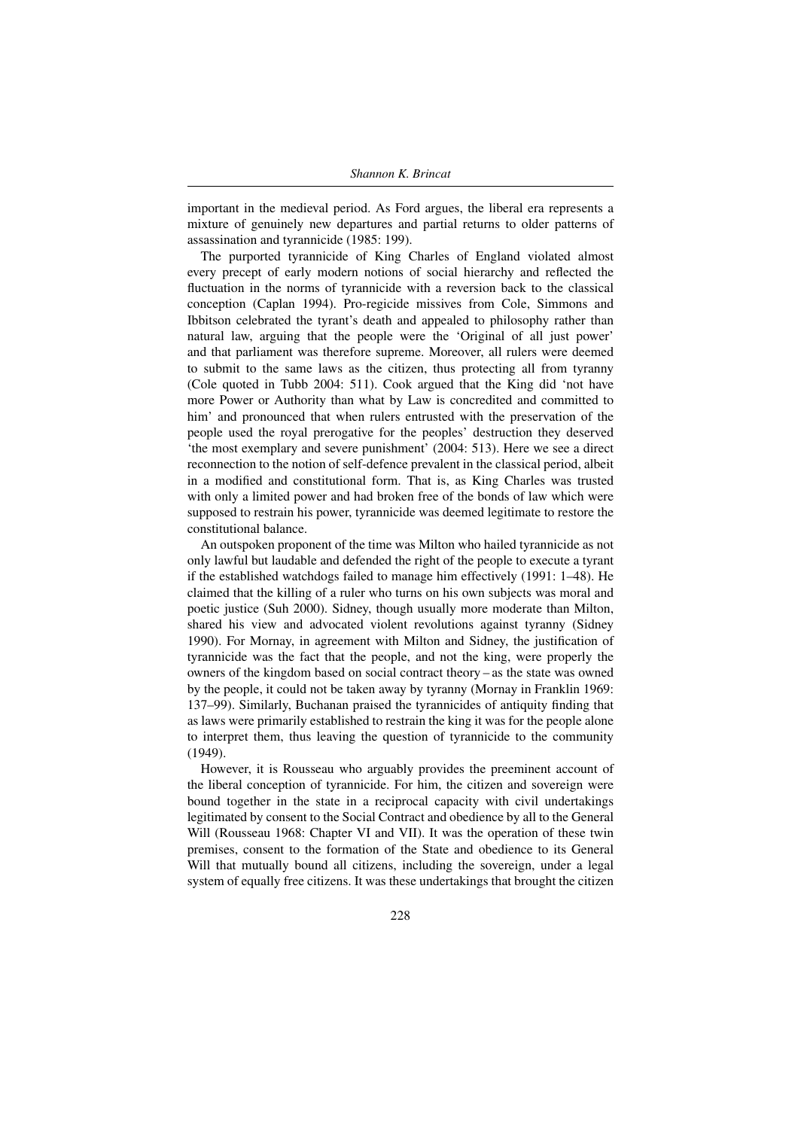important in the medieval period. As Ford argues, the liberal era represents a mixture of genuinely new departures and partial returns to older patterns of assassination and tyrannicide (1985: 199).

The purported tyrannicide of King Charles of England violated almost every precept of early modern notions of social hierarchy and reflected the fluctuation in the norms of tyrannicide with a reversion back to the classical conception (Caplan 1994). Pro-regicide missives from Cole, Simmons and Ibbitson celebrated the tyrant's death and appealed to philosophy rather than natural law, arguing that the people were the 'Original of all just power' and that parliament was therefore supreme. Moreover, all rulers were deemed to submit to the same laws as the citizen, thus protecting all from tyranny (Cole quoted in Tubb 2004: 511). Cook argued that the King did 'not have more Power or Authority than what by Law is concredited and committed to him' and pronounced that when rulers entrusted with the preservation of the people used the royal prerogative for the peoples' destruction they deserved 'the most exemplary and severe punishment' (2004: 513). Here we see a direct reconnection to the notion of self-defence prevalent in the classical period, albeit in a modified and constitutional form. That is, as King Charles was trusted with only a limited power and had broken free of the bonds of law which were supposed to restrain his power, tyrannicide was deemed legitimate to restore the constitutional balance.

An outspoken proponent of the time was Milton who hailed tyrannicide as not only lawful but laudable and defended the right of the people to execute a tyrant if the established watchdogs failed to manage him effectively (1991: 1–48). He claimed that the killing of a ruler who turns on his own subjects was moral and poetic justice (Suh 2000). Sidney, though usually more moderate than Milton, shared his view and advocated violent revolutions against tyranny (Sidney 1990). For Mornay, in agreement with Milton and Sidney, the justification of tyrannicide was the fact that the people, and not the king, were properly the owners of the kingdom based on social contract theory – as the state was owned by the people, it could not be taken away by tyranny (Mornay in Franklin 1969: 137–99). Similarly, Buchanan praised the tyrannicides of antiquity finding that as laws were primarily established to restrain the king it was for the people alone to interpret them, thus leaving the question of tyrannicide to the community (1949).

However, it is Rousseau who arguably provides the preeminent account of the liberal conception of tyrannicide. For him, the citizen and sovereign were bound together in the state in a reciprocal capacity with civil undertakings legitimated by consent to the Social Contract and obedience by all to the General Will (Rousseau 1968: Chapter VI and VII). It was the operation of these twin premises, consent to the formation of the State and obedience to its General Will that mutually bound all citizens, including the sovereign, under a legal system of equally free citizens. It was these undertakings that brought the citizen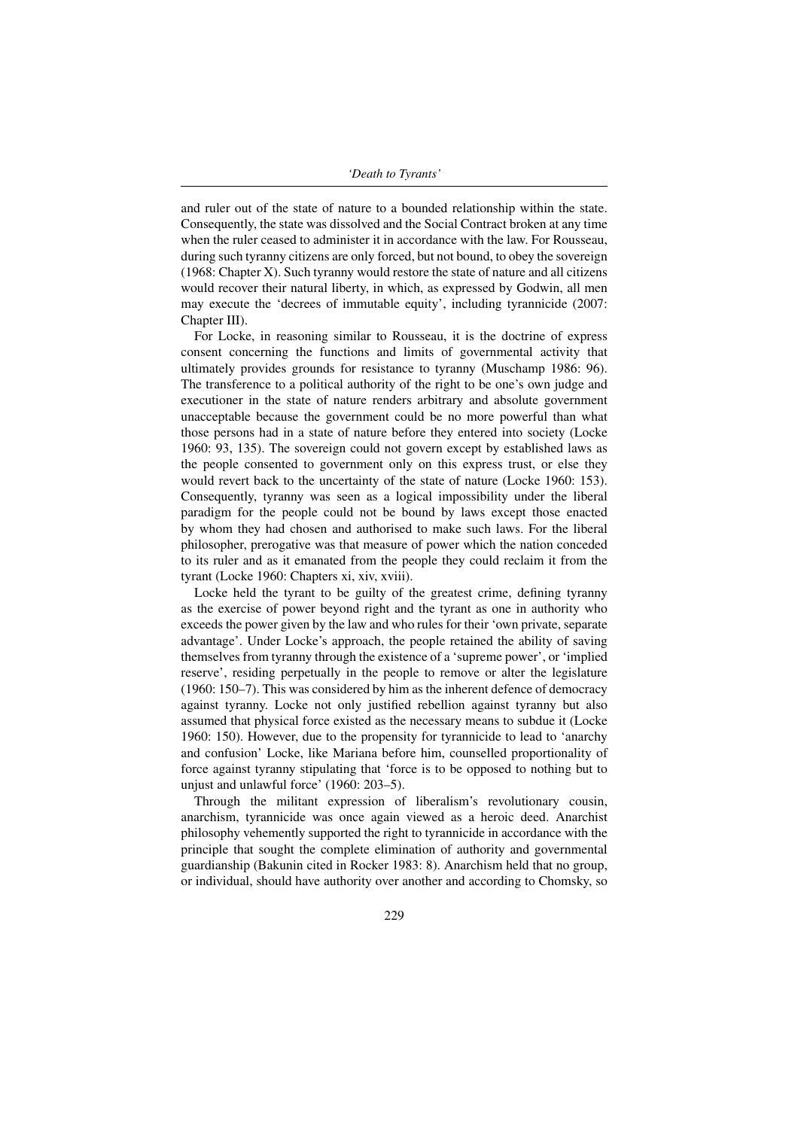and ruler out of the state of nature to a bounded relationship within the state. Consequently, the state was dissolved and the Social Contract broken at any time when the ruler ceased to administer it in accordance with the law. For Rousseau, during such tyranny citizens are only forced, but not bound, to obey the sovereign (1968: Chapter X). Such tyranny would restore the state of nature and all citizens would recover their natural liberty, in which, as expressed by Godwin, all men may execute the 'decrees of immutable equity', including tyrannicide (2007: Chapter III).

For Locke, in reasoning similar to Rousseau, it is the doctrine of express consent concerning the functions and limits of governmental activity that ultimately provides grounds for resistance to tyranny (Muschamp 1986: 96). The transference to a political authority of the right to be one's own judge and executioner in the state of nature renders arbitrary and absolute government unacceptable because the government could be no more powerful than what those persons had in a state of nature before they entered into society (Locke 1960: 93, 135). The sovereign could not govern except by established laws as the people consented to government only on this express trust, or else they would revert back to the uncertainty of the state of nature (Locke 1960: 153). Consequently, tyranny was seen as a logical impossibility under the liberal paradigm for the people could not be bound by laws except those enacted by whom they had chosen and authorised to make such laws. For the liberal philosopher, prerogative was that measure of power which the nation conceded to its ruler and as it emanated from the people they could reclaim it from the tyrant (Locke 1960: Chapters xi, xiv, xviii).

Locke held the tyrant to be guilty of the greatest crime, defining tyranny as the exercise of power beyond right and the tyrant as one in authority who exceeds the power given by the law and who rules for their 'own private, separate advantage'. Under Locke's approach, the people retained the ability of saving themselves from tyranny through the existence of a 'supreme power', or 'implied reserve', residing perpetually in the people to remove or alter the legislature (1960: 150–7). This was considered by him as the inherent defence of democracy against tyranny. Locke not only justified rebellion against tyranny but also assumed that physical force existed as the necessary means to subdue it (Locke 1960: 150). However, due to the propensity for tyrannicide to lead to 'anarchy and confusion' Locke, like Mariana before him, counselled proportionality of force against tyranny stipulating that 'force is to be opposed to nothing but to unjust and unlawful force' (1960: 203–5).

Through the militant expression of liberalism's revolutionary cousin, anarchism, tyrannicide was once again viewed as a heroic deed. Anarchist philosophy vehemently supported the right to tyrannicide in accordance with the principle that sought the complete elimination of authority and governmental guardianship (Bakunin cited in Rocker 1983: 8). Anarchism held that no group, or individual, should have authority over another and according to Chomsky, so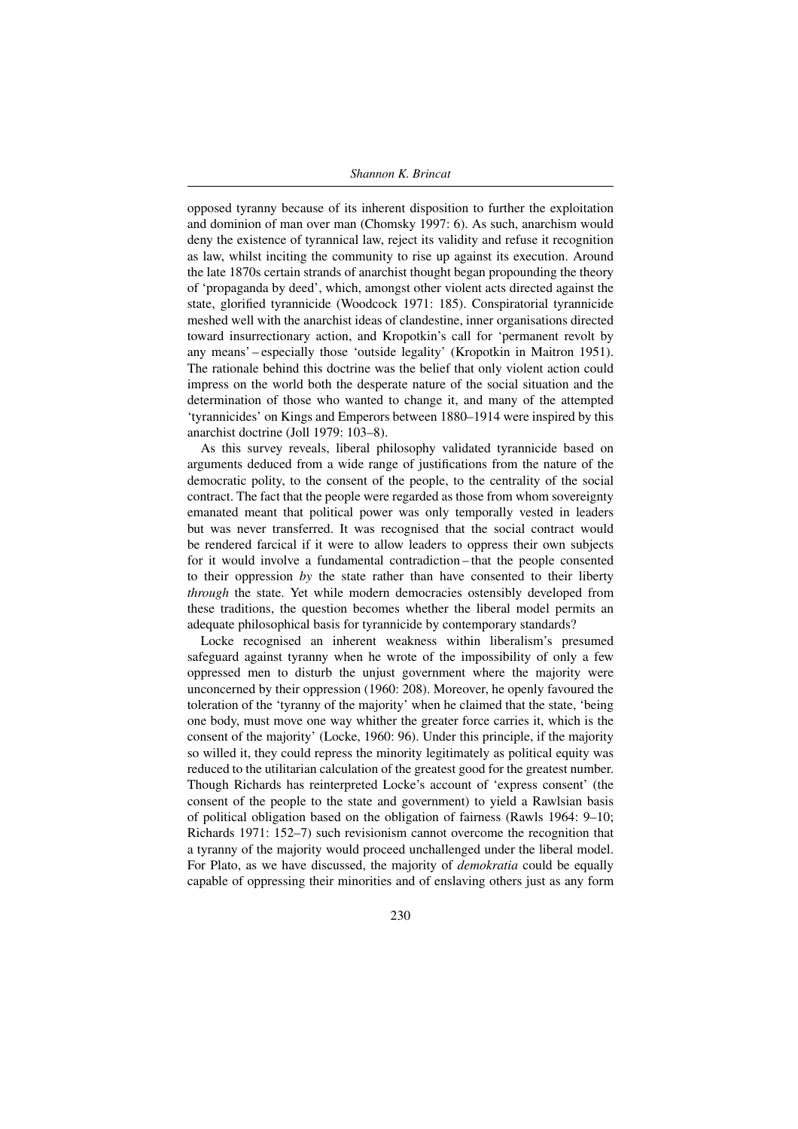*Shannon K. Brincat*

opposed tyranny because of its inherent disposition to further the exploitation and dominion of man over man (Chomsky 1997: 6). As such, anarchism would deny the existence of tyrannical law, reject its validity and refuse it recognition as law, whilst inciting the community to rise up against its execution. Around the late 1870s certain strands of anarchist thought began propounding the theory of 'propaganda by deed', which, amongst other violent acts directed against the state, glorified tyrannicide (Woodcock 1971: 185). Conspiratorial tyrannicide meshed well with the anarchist ideas of clandestine, inner organisations directed toward insurrectionary action, and Kropotkin's call for 'permanent revolt by any means' – especially those 'outside legality' (Kropotkin in Maitron 1951). The rationale behind this doctrine was the belief that only violent action could impress on the world both the desperate nature of the social situation and the determination of those who wanted to change it, and many of the attempted 'tyrannicides' on Kings and Emperors between 1880–1914 were inspired by this anarchist doctrine (Joll 1979: 103–8).

As this survey reveals, liberal philosophy validated tyrannicide based on arguments deduced from a wide range of justifications from the nature of the democratic polity, to the consent of the people, to the centrality of the social contract. The fact that the people were regarded as those from whom sovereignty emanated meant that political power was only temporally vested in leaders but was never transferred. It was recognised that the social contract would be rendered farcical if it were to allow leaders to oppress their own subjects for it would involve a fundamental contradiction – that the people consented to their oppression *by* the state rather than have consented to their liberty *through* the state. Yet while modern democracies ostensibly developed from these traditions, the question becomes whether the liberal model permits an adequate philosophical basis for tyrannicide by contemporary standards?

Locke recognised an inherent weakness within liberalism's presumed safeguard against tyranny when he wrote of the impossibility of only a few oppressed men to disturb the unjust government where the majority were unconcerned by their oppression (1960: 208). Moreover, he openly favoured the toleration of the 'tyranny of the majority' when he claimed that the state, 'being one body, must move one way whither the greater force carries it, which is the consent of the majority' (Locke, 1960: 96). Under this principle, if the majority so willed it, they could repress the minority legitimately as political equity was reduced to the utilitarian calculation of the greatest good for the greatest number. Though Richards has reinterpreted Locke's account of 'express consent' (the consent of the people to the state and government) to yield a Rawlsian basis of political obligation based on the obligation of fairness (Rawls 1964: 9–10; Richards 1971: 152–7) such revisionism cannot overcome the recognition that a tyranny of the majority would proceed unchallenged under the liberal model. For Plato, as we have discussed, the majority of *demokratia* could be equally capable of oppressing their minorities and of enslaving others just as any form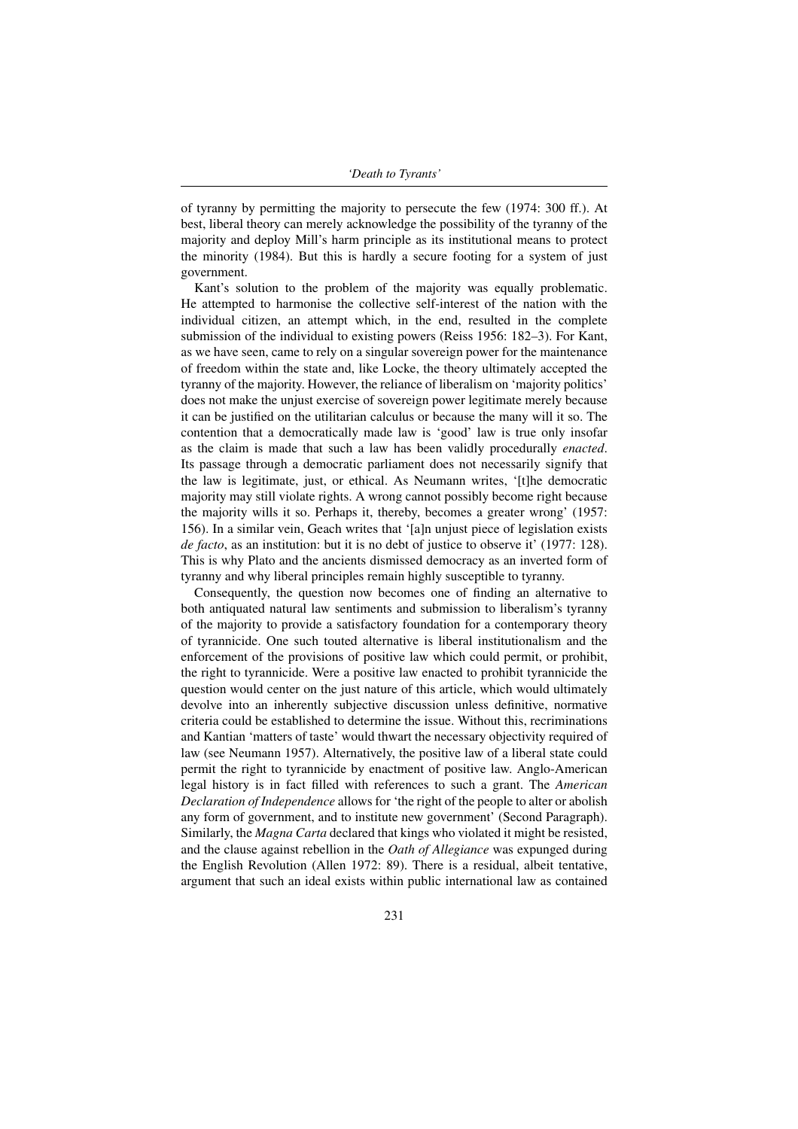of tyranny by permitting the majority to persecute the few (1974: 300 ff.). At best, liberal theory can merely acknowledge the possibility of the tyranny of the majority and deploy Mill's harm principle as its institutional means to protect the minority (1984). But this is hardly a secure footing for a system of just government.

Kant's solution to the problem of the majority was equally problematic. He attempted to harmonise the collective self-interest of the nation with the individual citizen, an attempt which, in the end, resulted in the complete submission of the individual to existing powers (Reiss 1956: 182–3). For Kant, as we have seen, came to rely on a singular sovereign power for the maintenance of freedom within the state and, like Locke, the theory ultimately accepted the tyranny of the majority. However, the reliance of liberalism on 'majority politics' does not make the unjust exercise of sovereign power legitimate merely because it can be justified on the utilitarian calculus or because the many will it so. The contention that a democratically made law is 'good' law is true only insofar as the claim is made that such a law has been validly procedurally *enacted*. Its passage through a democratic parliament does not necessarily signify that the law is legitimate, just, or ethical. As Neumann writes, '[t]he democratic majority may still violate rights. A wrong cannot possibly become right because the majority wills it so. Perhaps it, thereby, becomes a greater wrong' (1957: 156). In a similar vein, Geach writes that '[a]n unjust piece of legislation exists *de facto*, as an institution: but it is no debt of justice to observe it' (1977: 128). This is why Plato and the ancients dismissed democracy as an inverted form of tyranny and why liberal principles remain highly susceptible to tyranny.

Consequently, the question now becomes one of finding an alternative to both antiquated natural law sentiments and submission to liberalism's tyranny of the majority to provide a satisfactory foundation for a contemporary theory of tyrannicide. One such touted alternative is liberal institutionalism and the enforcement of the provisions of positive law which could permit, or prohibit, the right to tyrannicide. Were a positive law enacted to prohibit tyrannicide the question would center on the just nature of this article, which would ultimately devolve into an inherently subjective discussion unless definitive, normative criteria could be established to determine the issue. Without this, recriminations and Kantian 'matters of taste' would thwart the necessary objectivity required of law (see Neumann 1957). Alternatively, the positive law of a liberal state could permit the right to tyrannicide by enactment of positive law. Anglo-American legal history is in fact filled with references to such a grant. The *American Declaration of Independence* allows for 'the right of the people to alter or abolish any form of government, and to institute new government' (Second Paragraph). Similarly, the *Magna Carta* declared that kings who violated it might be resisted, and the clause against rebellion in the *Oath of Allegiance* was expunged during the English Revolution (Allen 1972: 89). There is a residual, albeit tentative, argument that such an ideal exists within public international law as contained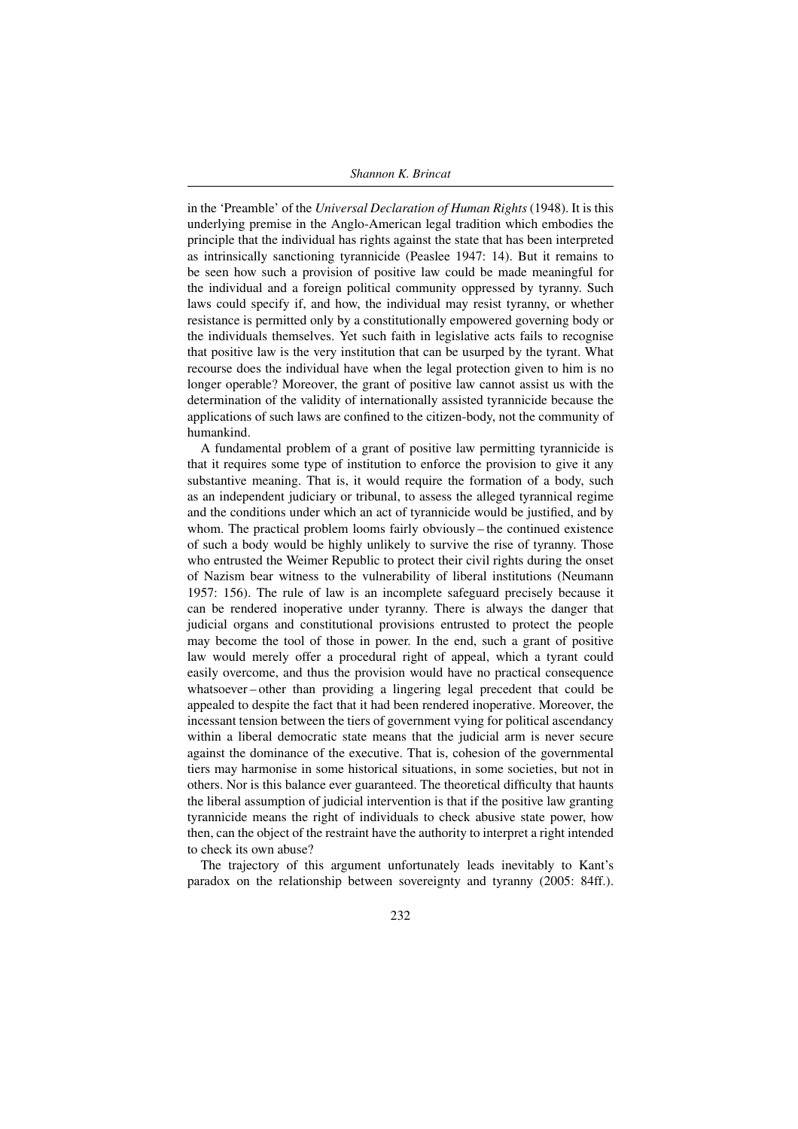in the 'Preamble' of the *Universal Declaration of Human Rights* (1948). It is this underlying premise in the Anglo-American legal tradition which embodies the principle that the individual has rights against the state that has been interpreted as intrinsically sanctioning tyrannicide (Peaslee 1947: 14). But it remains to be seen how such a provision of positive law could be made meaningful for the individual and a foreign political community oppressed by tyranny. Such laws could specify if, and how, the individual may resist tyranny, or whether resistance is permitted only by a constitutionally empowered governing body or the individuals themselves. Yet such faith in legislative acts fails to recognise that positive law is the very institution that can be usurped by the tyrant. What recourse does the individual have when the legal protection given to him is no longer operable? Moreover, the grant of positive law cannot assist us with the determination of the validity of internationally assisted tyrannicide because the applications of such laws are confined to the citizen-body, not the community of humankind.

A fundamental problem of a grant of positive law permitting tyrannicide is that it requires some type of institution to enforce the provision to give it any substantive meaning. That is, it would require the formation of a body, such as an independent judiciary or tribunal, to assess the alleged tyrannical regime and the conditions under which an act of tyrannicide would be justified, and by whom. The practical problem looms fairly obviously – the continued existence of such a body would be highly unlikely to survive the rise of tyranny. Those who entrusted the Weimer Republic to protect their civil rights during the onset of Nazism bear witness to the vulnerability of liberal institutions (Neumann 1957: 156). The rule of law is an incomplete safeguard precisely because it can be rendered inoperative under tyranny. There is always the danger that judicial organs and constitutional provisions entrusted to protect the people may become the tool of those in power. In the end, such a grant of positive law would merely offer a procedural right of appeal, which a tyrant could easily overcome, and thus the provision would have no practical consequence whatsoever – other than providing a lingering legal precedent that could be appealed to despite the fact that it had been rendered inoperative. Moreover, the incessant tension between the tiers of government vying for political ascendancy within a liberal democratic state means that the judicial arm is never secure against the dominance of the executive. That is, cohesion of the governmental tiers may harmonise in some historical situations, in some societies, but not in others. Nor is this balance ever guaranteed. The theoretical difficulty that haunts the liberal assumption of judicial intervention is that if the positive law granting tyrannicide means the right of individuals to check abusive state power, how then, can the object of the restraint have the authority to interpret a right intended to check its own abuse?

The trajectory of this argument unfortunately leads inevitably to Kant's paradox on the relationship between sovereignty and tyranny (2005: 84ff.).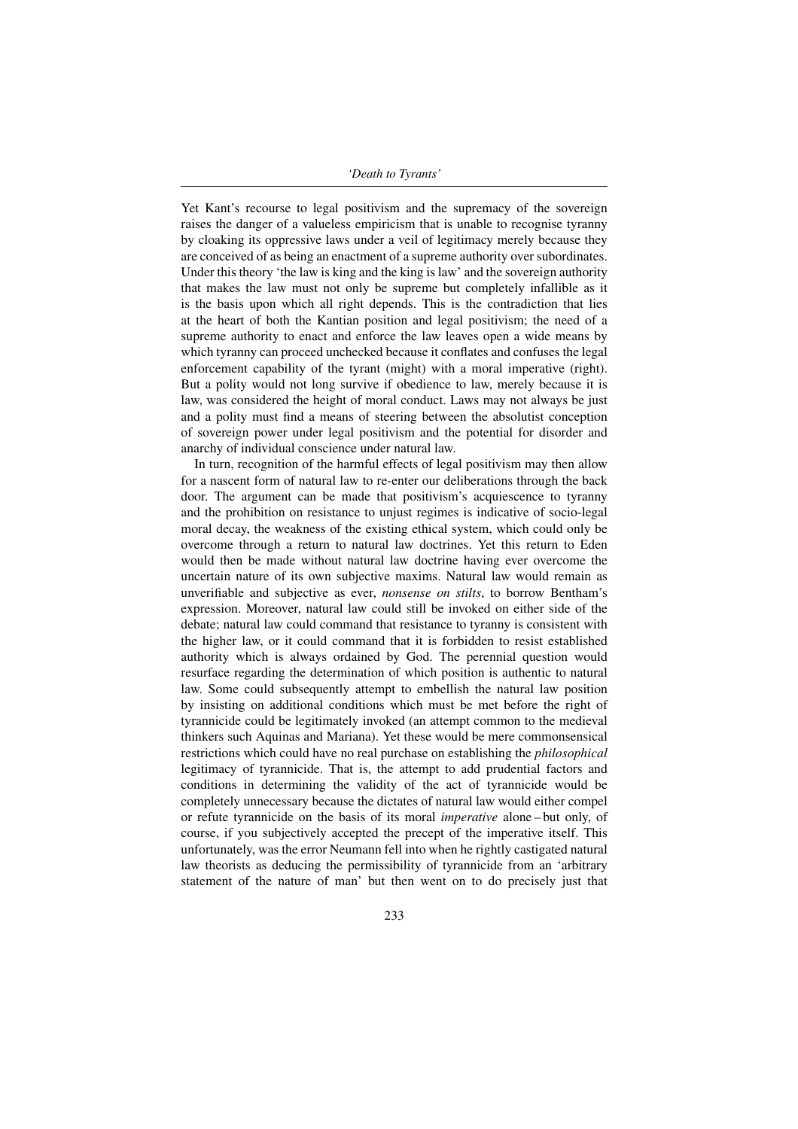Yet Kant's recourse to legal positivism and the supremacy of the sovereign raises the danger of a valueless empiricism that is unable to recognise tyranny by cloaking its oppressive laws under a veil of legitimacy merely because they are conceived of as being an enactment of a supreme authority over subordinates. Under this theory 'the law is king and the king is law' and the sovereign authority that makes the law must not only be supreme but completely infallible as it is the basis upon which all right depends. This is the contradiction that lies at the heart of both the Kantian position and legal positivism; the need of a supreme authority to enact and enforce the law leaves open a wide means by which tyranny can proceed unchecked because it conflates and confuses the legal enforcement capability of the tyrant (might) with a moral imperative (right). But a polity would not long survive if obedience to law, merely because it is law, was considered the height of moral conduct. Laws may not always be just and a polity must find a means of steering between the absolutist conception of sovereign power under legal positivism and the potential for disorder and anarchy of individual conscience under natural law.

In turn, recognition of the harmful effects of legal positivism may then allow for a nascent form of natural law to re-enter our deliberations through the back door. The argument can be made that positivism's acquiescence to tyranny and the prohibition on resistance to unjust regimes is indicative of socio-legal moral decay, the weakness of the existing ethical system, which could only be overcome through a return to natural law doctrines. Yet this return to Eden would then be made without natural law doctrine having ever overcome the uncertain nature of its own subjective maxims. Natural law would remain as unverifiable and subjective as ever, *nonsense on stilts*, to borrow Bentham's expression. Moreover, natural law could still be invoked on either side of the debate; natural law could command that resistance to tyranny is consistent with the higher law, or it could command that it is forbidden to resist established authority which is always ordained by God. The perennial question would resurface regarding the determination of which position is authentic to natural law. Some could subsequently attempt to embellish the natural law position by insisting on additional conditions which must be met before the right of tyrannicide could be legitimately invoked (an attempt common to the medieval thinkers such Aquinas and Mariana). Yet these would be mere commonsensical restrictions which could have no real purchase on establishing the *philosophical* legitimacy of tyrannicide. That is, the attempt to add prudential factors and conditions in determining the validity of the act of tyrannicide would be completely unnecessary because the dictates of natural law would either compel or refute tyrannicide on the basis of its moral *imperative* alone – but only, of course, if you subjectively accepted the precept of the imperative itself. This unfortunately, was the error Neumann fell into when he rightly castigated natural law theorists as deducing the permissibility of tyrannicide from an 'arbitrary statement of the nature of man' but then went on to do precisely just that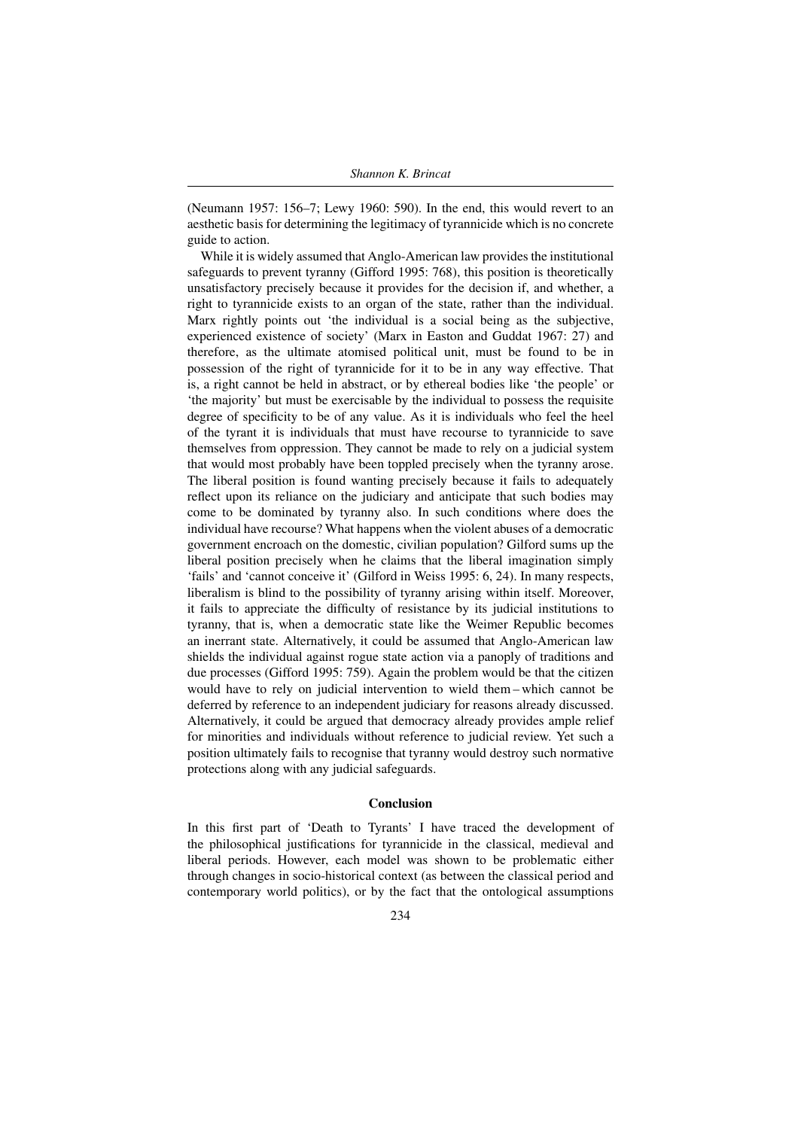(Neumann 1957: 156–7; Lewy 1960: 590). In the end, this would revert to an aesthetic basis for determining the legitimacy of tyrannicide which is no concrete guide to action.

While it is widely assumed that Anglo-American law provides the institutional safeguards to prevent tyranny (Gifford 1995: 768), this position is theoretically unsatisfactory precisely because it provides for the decision if, and whether, a right to tyrannicide exists to an organ of the state, rather than the individual. Marx rightly points out 'the individual is a social being as the subjective, experienced existence of society' (Marx in Easton and Guddat 1967: 27) and therefore, as the ultimate atomised political unit, must be found to be in possession of the right of tyrannicide for it to be in any way effective. That is, a right cannot be held in abstract, or by ethereal bodies like 'the people' or 'the majority' but must be exercisable by the individual to possess the requisite degree of specificity to be of any value. As it is individuals who feel the heel of the tyrant it is individuals that must have recourse to tyrannicide to save themselves from oppression. They cannot be made to rely on a judicial system that would most probably have been toppled precisely when the tyranny arose. The liberal position is found wanting precisely because it fails to adequately reflect upon its reliance on the judiciary and anticipate that such bodies may come to be dominated by tyranny also. In such conditions where does the individual have recourse? What happens when the violent abuses of a democratic government encroach on the domestic, civilian population? Gilford sums up the liberal position precisely when he claims that the liberal imagination simply 'fails' and 'cannot conceive it' (Gilford in Weiss 1995: 6, 24). In many respects, liberalism is blind to the possibility of tyranny arising within itself. Moreover, it fails to appreciate the difficulty of resistance by its judicial institutions to tyranny, that is, when a democratic state like the Weimer Republic becomes an inerrant state. Alternatively, it could be assumed that Anglo-American law shields the individual against rogue state action via a panoply of traditions and due processes (Gifford 1995: 759). Again the problem would be that the citizen would have to rely on judicial intervention to wield them – which cannot be deferred by reference to an independent judiciary for reasons already discussed. Alternatively, it could be argued that democracy already provides ample relief for minorities and individuals without reference to judicial review. Yet such a position ultimately fails to recognise that tyranny would destroy such normative protections along with any judicial safeguards.

### **Conclusion**

In this first part of 'Death to Tyrants' I have traced the development of the philosophical justifications for tyrannicide in the classical, medieval and liberal periods. However, each model was shown to be problematic either through changes in socio-historical context (as between the classical period and contemporary world politics), or by the fact that the ontological assumptions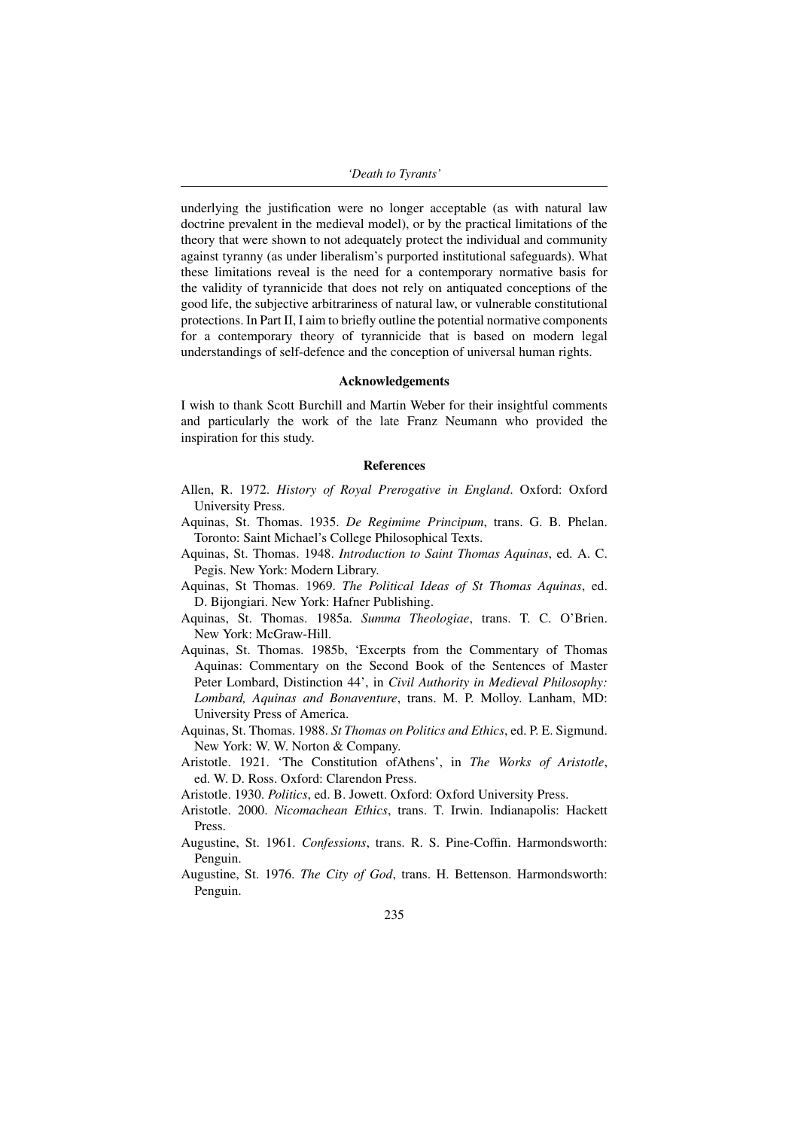underlying the justification were no longer acceptable (as with natural law doctrine prevalent in the medieval model), or by the practical limitations of the theory that were shown to not adequately protect the individual and community against tyranny (as under liberalism's purported institutional safeguards). What these limitations reveal is the need for a contemporary normative basis for the validity of tyrannicide that does not rely on antiquated conceptions of the good life, the subjective arbitrariness of natural law, or vulnerable constitutional protections. In Part II, I aim to briefly outline the potential normative components for a contemporary theory of tyrannicide that is based on modern legal understandings of self-defence and the conception of universal human rights.

#### **Acknowledgements**

I wish to thank Scott Burchill and Martin Weber for their insightful comments and particularly the work of the late Franz Neumann who provided the inspiration for this study.

#### **References**

- Allen, R. 1972. *History of Royal Prerogative in England*. Oxford: Oxford University Press.
- Aquinas, St. Thomas. 1935. *De Regimime Principum*, trans. G. B. Phelan. Toronto: Saint Michael's College Philosophical Texts.
- Aquinas, St. Thomas. 1948. *Introduction to Saint Thomas Aquinas*, ed. A. C. Pegis. New York: Modern Library.
- Aquinas, St Thomas. 1969. *The Political Ideas of St Thomas Aquinas*, ed. D. Bijongiari. New York: Hafner Publishing.
- Aquinas, St. Thomas. 1985a. *Summa Theologiae*, trans. T. C. O'Brien. New York: McGraw-Hill.
- Aquinas, St. Thomas. 1985b, 'Excerpts from the Commentary of Thomas Aquinas: Commentary on the Second Book of the Sentences of Master Peter Lombard, Distinction 44', in *Civil Authority in Medieval Philosophy: Lombard, Aquinas and Bonaventure*, trans. M. P. Molloy. Lanham, MD: University Press of America.
- Aquinas, St. Thomas. 1988. *St Thomas on Politics and Ethics*, ed. P. E. Sigmund. New York: W. W. Norton & Company.
- Aristotle. 1921. 'The Constitution ofAthens', in *The Works of Aristotle*, ed. W. D. Ross. Oxford: Clarendon Press.
- Aristotle. 1930. *Politics*, ed. B. Jowett. Oxford: Oxford University Press.
- Aristotle. 2000. *Nicomachean Ethics*, trans. T. Irwin. Indianapolis: Hackett Press.
- Augustine, St. 1961. *Confessions*, trans. R. S. Pine-Coffin. Harmondsworth: Penguin.
- Augustine, St. 1976. *The City of God*, trans. H. Bettenson. Harmondsworth: Penguin.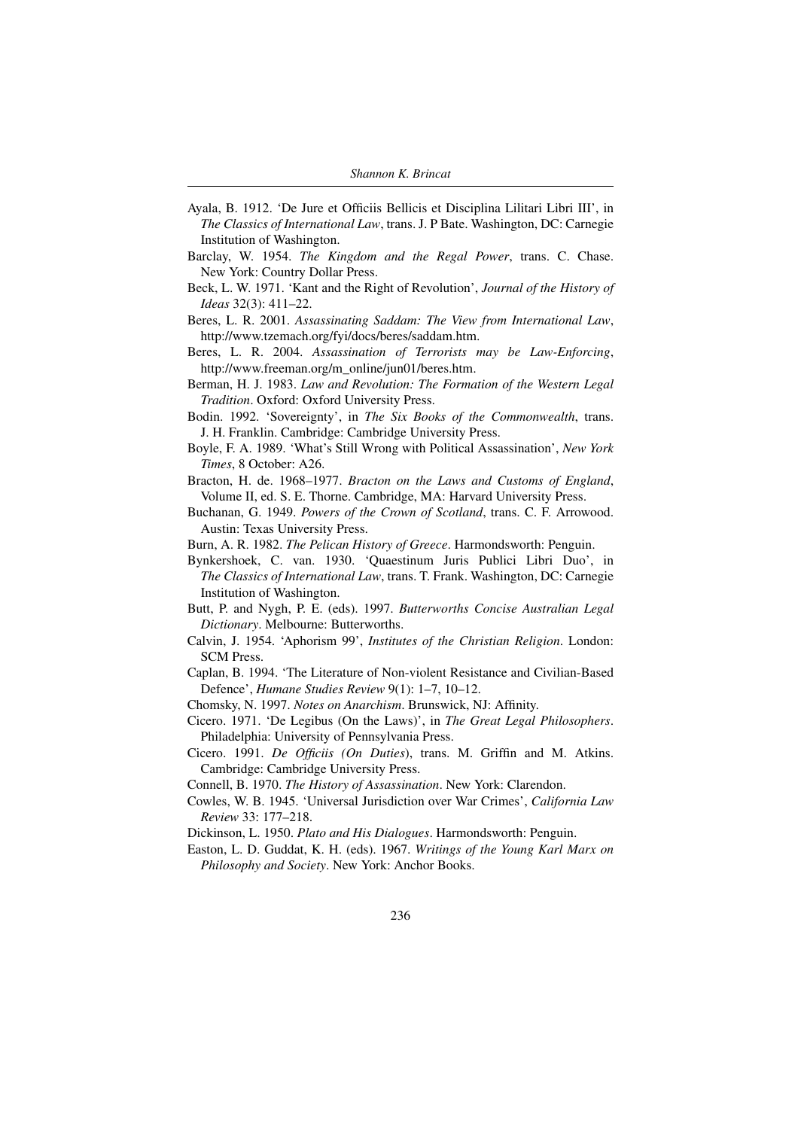- Ayala, B. 1912. 'De Jure et Officiis Bellicis et Disciplina Lilitari Libri III', in *The Classics of International Law*, trans. J. P Bate. Washington, DC: Carnegie Institution of Washington.
- Barclay, W. 1954. *The Kingdom and the Regal Power*, trans. C. Chase. New York: Country Dollar Press.
- Beck, L. W. 1971. 'Kant and the Right of Revolution', *Journal of the History of Ideas* 32(3): 411–22.
- Beres, L. R. 2001. *Assassinating Saddam: The View from International Law*, http://www.tzemach.org/fyi/docs/beres/saddam.htm.
- Beres, L. R. 2004. *Assassination of Terrorists may be Law-Enforcing*, http://www.freeman.org/m\_online/jun01/beres.htm.
- Berman, H. J. 1983. *Law and Revolution: The Formation of the Western Legal Tradition*. Oxford: Oxford University Press.
- Bodin. 1992. 'Sovereignty', in *The Six Books of the Commonwealth*, trans. J. H. Franklin. Cambridge: Cambridge University Press.
- Boyle, F. A. 1989. 'What's Still Wrong with Political Assassination', *New York Times*, 8 October: A26.
- Bracton, H. de. 1968–1977. *Bracton on the Laws and Customs of England*, Volume II, ed. S. E. Thorne. Cambridge, MA: Harvard University Press.
- Buchanan, G. 1949. *Powers of the Crown of Scotland*, trans. C. F. Arrowood. Austin: Texas University Press.
- Burn, A. R. 1982. *The Pelican History of Greece*. Harmondsworth: Penguin.
- Bynkershoek, C. van. 1930. 'Quaestinum Juris Publici Libri Duo', in *The Classics of International Law*, trans. T. Frank. Washington, DC: Carnegie Institution of Washington.
- Butt, P. and Nygh, P. E. (eds). 1997. *Butterworths Concise Australian Legal Dictionary*. Melbourne: Butterworths.
- Calvin, J. 1954. 'Aphorism 99', *Institutes of the Christian Religion*. London: SCM Press.
- Caplan, B. 1994. 'The Literature of Non-violent Resistance and Civilian-Based Defence', *Humane Studies Review* 9(1): 1–7, 10–12.
- Chomsky, N. 1997. *Notes on Anarchism*. Brunswick, NJ: Affinity.
- Cicero. 1971. 'De Legibus (On the Laws)', in *The Great Legal Philosophers*. Philadelphia: University of Pennsylvania Press.
- Cicero. 1991. *De Officiis (On Duties*), trans. M. Griffin and M. Atkins. Cambridge: Cambridge University Press.
- Connell, B. 1970. *The History of Assassination*. New York: Clarendon.
- Cowles, W. B. 1945. 'Universal Jurisdiction over War Crimes', *California Law Review* 33: 177–218.

Dickinson, L. 1950. *Plato and His Dialogues*. Harmondsworth: Penguin.

Easton, L. D. Guddat, K. H. (eds). 1967. *Writings of the Young Karl Marx on Philosophy and Society*. New York: Anchor Books.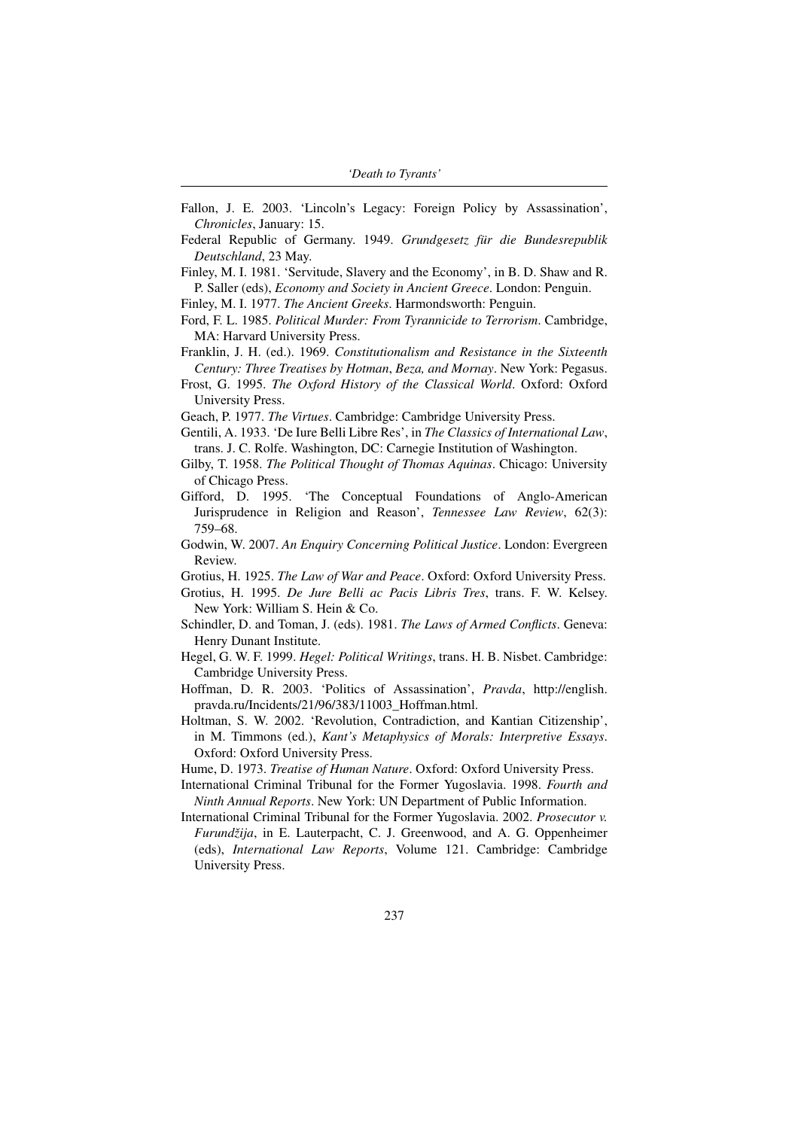- Fallon, J. E. 2003. 'Lincoln's Legacy: Foreign Policy by Assassination', *Chronicles*, January: 15.
- Federal Republic of Germany. 1949. *Grundgesetz für die Bundesrepublik Deutschland*, 23 May.
- Finley, M. I. 1981. 'Servitude, Slavery and the Economy', in B. D. Shaw and R. P. Saller (eds), *Economy and Society in Ancient Greece*. London: Penguin.
- Finley, M. I. 1977. *The Ancient Greeks*. Harmondsworth: Penguin.
- Ford, F. L. 1985. *Political Murder: From Tyrannicide to Terrorism*. Cambridge, MA: Harvard University Press.
- Franklin, J. H. (ed.). 1969. *Constitutionalism and Resistance in the Sixteenth Century: Three Treatises by Hotman*, *Beza, and Mornay*. New York: Pegasus.
- Frost, G. 1995. *The Oxford History of the Classical World*. Oxford: Oxford University Press.
- Geach, P. 1977. *The Virtues*. Cambridge: Cambridge University Press.
- Gentili, A. 1933. 'De Iure Belli Libre Res', in *The Classics of International Law*, trans. J. C. Rolfe. Washington, DC: Carnegie Institution of Washington.
- Gilby, T. 1958. *The Political Thought of Thomas Aquinas*. Chicago: University of Chicago Press.
- Gifford, D. 1995. 'The Conceptual Foundations of Anglo-American Jurisprudence in Religion and Reason', *Tennessee Law Review*, 62(3): 759–68.
- Godwin, W. 2007. *An Enquiry Concerning Political Justice*. London: Evergreen Review.
- Grotius, H. 1925. *The Law of War and Peace*. Oxford: Oxford University Press.
- Grotius, H. 1995. *De Jure Belli ac Pacis Libris Tres*, trans. F. W. Kelsey. New York: William S. Hein & Co.
- Schindler, D. and Toman, J. (eds). 1981. *The Laws of Armed Conflicts*. Geneva: Henry Dunant Institute.
- Hegel, G. W. F. 1999. *Hegel: Political Writings*, trans. H. B. Nisbet. Cambridge: Cambridge University Press.
- Hoffman, D. R. 2003. 'Politics of Assassination', *Pravda*, http://english. pravda.ru/Incidents/21/96/383/11003\_Hoffman.html.
- Holtman, S. W. 2002. 'Revolution, Contradiction, and Kantian Citizenship', in M. Timmons (ed.), *Kant's Metaphysics of Morals: Interpretive Essays*. Oxford: Oxford University Press.
- Hume, D. 1973. *Treatise of Human Nature*. Oxford: Oxford University Press.
- International Criminal Tribunal for the Former Yugoslavia. 1998. *Fourth and Ninth Annual Reports*. New York: UN Department of Public Information.
- International Criminal Tribunal for the Former Yugoslavia. 2002. *Prosecutor v. Furundžija*, in E. Lauterpacht, C. J. Greenwood, and A. G. Oppenheimer (eds), *International Law Reports*, Volume 121. Cambridge: Cambridge University Press.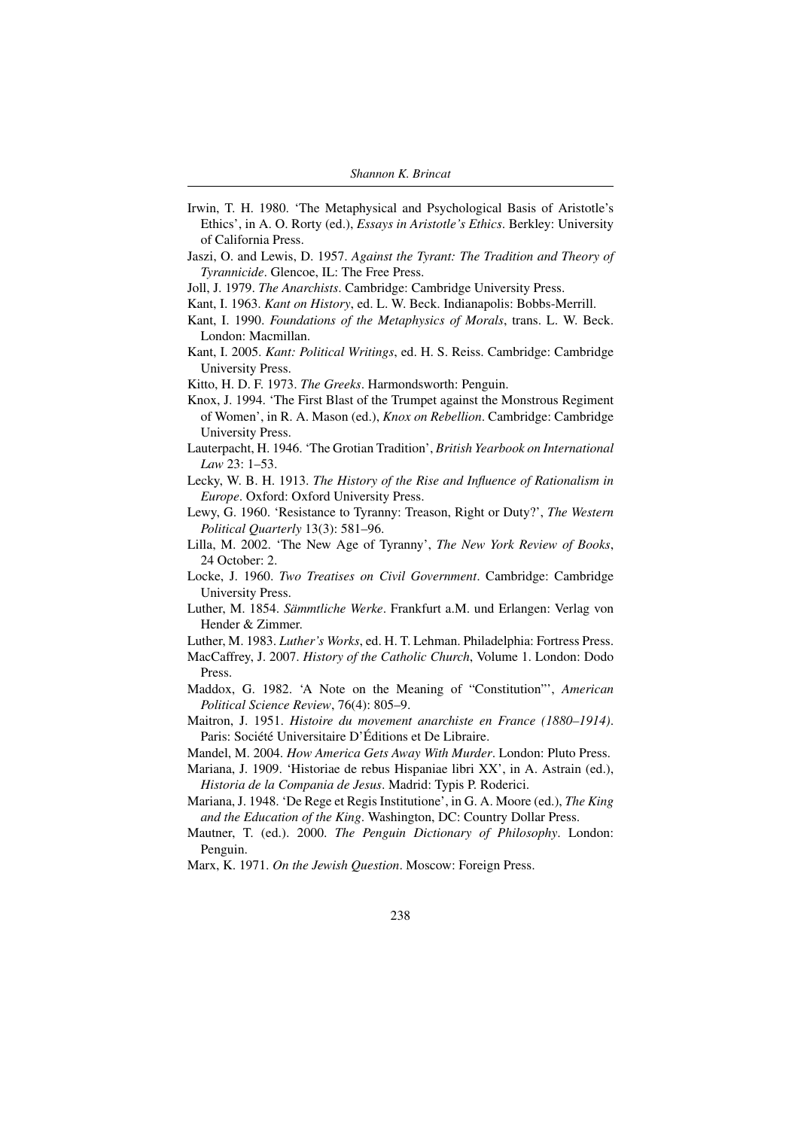- Irwin, T. H. 1980. 'The Metaphysical and Psychological Basis of Aristotle's Ethics', in A. O. Rorty (ed.), *Essays in Aristotle's Ethics*. Berkley: University of California Press.
- Jaszi, O. and Lewis, D. 1957. *Against the Tyrant: The Tradition and Theory of Tyrannicide*. Glencoe, IL: The Free Press.

Joll, J. 1979. *The Anarchists*. Cambridge: Cambridge University Press.

- Kant, I. 1963. *Kant on History*, ed. L. W. Beck. Indianapolis: Bobbs-Merrill.
- Kant, I. 1990. *Foundations of the Metaphysics of Morals*, trans. L. W. Beck. London: Macmillan.
- Kant, I. 2005. *Kant: Political Writings*, ed. H. S. Reiss. Cambridge: Cambridge University Press.
- Kitto, H. D. F. 1973. *The Greeks*. Harmondsworth: Penguin.
- Knox, J. 1994. 'The First Blast of the Trumpet against the Monstrous Regiment of Women', in R. A. Mason (ed.), *Knox on Rebellion*. Cambridge: Cambridge University Press.
- Lauterpacht, H. 1946. 'The Grotian Tradition', *British Yearbook on International Law* 23: 1–53.
- Lecky, W. B. H. 1913. *The History of the Rise and Influence of Rationalism in Europe*. Oxford: Oxford University Press.
- Lewy, G. 1960. 'Resistance to Tyranny: Treason, Right or Duty?', *The Western Political Quarterly* 13(3): 581–96.
- Lilla, M. 2002. 'The New Age of Tyranny', *The New York Review of Books*, 24 October: 2.
- Locke, J. 1960. *Two Treatises on Civil Government*. Cambridge: Cambridge University Press.
- Luther, M. 1854. *Sämmtliche Werke*. Frankfurt a.M. und Erlangen: Verlag von Hender & Zimmer.
- Luther, M. 1983. *Luther's Works*, ed. H. T. Lehman. Philadelphia: Fortress Press.
- MacCaffrey, J. 2007. *History of the Catholic Church*, Volume 1. London: Dodo Press.
- Maddox, G. 1982. 'A Note on the Meaning of "Constitution"', *American Political Science Review*, 76(4): 805–9.
- Maitron, J. 1951. *Histoire du movement anarchiste en France (1880–1914)*. Paris: Société Universitaire D'Éditions et De Libraire.
- Mandel, M. 2004. *How America Gets Away With Murder*. London: Pluto Press.
- Mariana, J. 1909. 'Historiae de rebus Hispaniae libri XX', in A. Astrain (ed.), *Historia de la Compania de Jesus*. Madrid: Typis P. Roderici.
- Mariana, J. 1948. 'De Rege et Regis Institutione', in G. A. Moore (ed.), *The King and the Education of the King*. Washington, DC: Country Dollar Press.
- Mautner, T. (ed.). 2000. *The Penguin Dictionary of Philosophy*. London: Penguin.
- Marx, K. 1971. *On the Jewish Question*. Moscow: Foreign Press.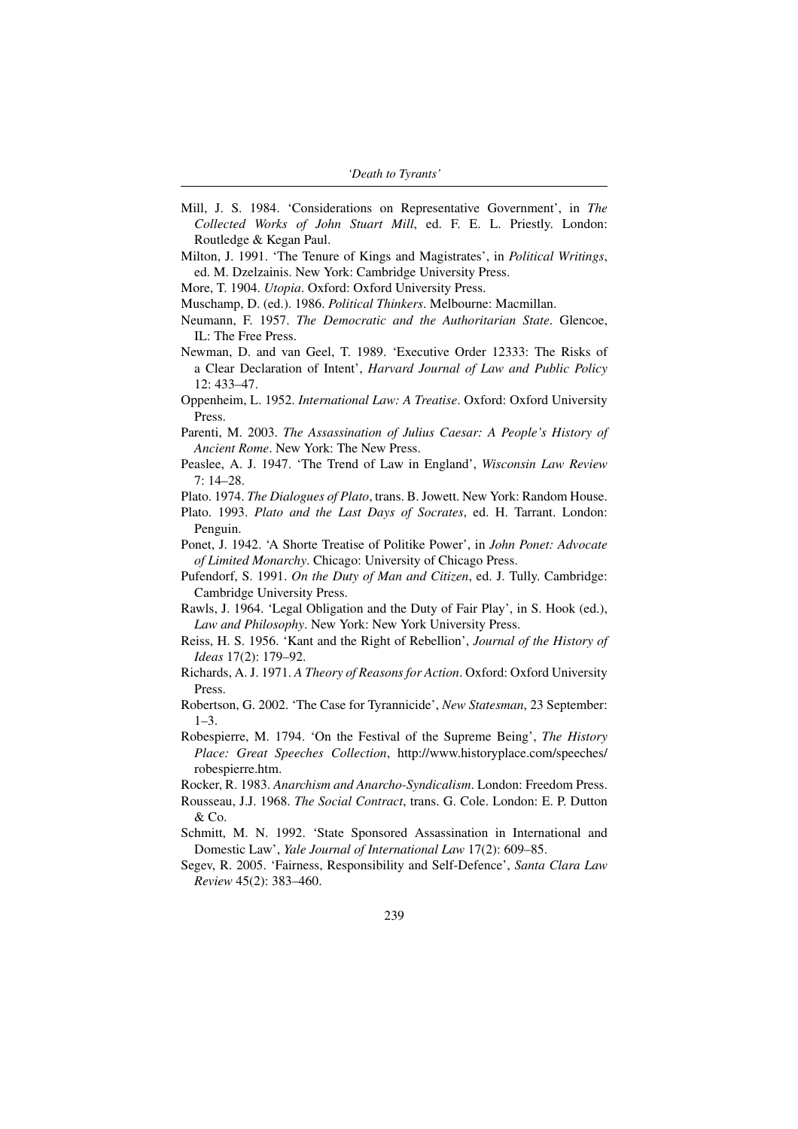- Mill, J. S. 1984. 'Considerations on Representative Government', in *The Collected Works of John Stuart Mill*, ed. F. E. L. Priestly. London: Routledge & Kegan Paul.
- Milton, J. 1991. 'The Tenure of Kings and Magistrates', in *Political Writings*, ed. M. Dzelzainis. New York: Cambridge University Press.

More, T. 1904. *Utopia*. Oxford: Oxford University Press.

- Muschamp, D. (ed.). 1986. *Political Thinkers*. Melbourne: Macmillan.
- Neumann, F. 1957. *The Democratic and the Authoritarian State*. Glencoe, IL: The Free Press.
- Newman, D. and van Geel, T. 1989. 'Executive Order 12333: The Risks of a Clear Declaration of Intent', *Harvard Journal of Law and Public Policy* 12: 433–47.
- Oppenheim, L. 1952. *International Law: A Treatise*. Oxford: Oxford University Press.
- Parenti, M. 2003. *The Assassination of Julius Caesar: A People's History of Ancient Rome*. New York: The New Press.
- Peaslee, A. J. 1947. 'The Trend of Law in England', *Wisconsin Law Review* 7: 14–28.
- Plato. 1974. *The Dialogues of Plato*, trans. B. Jowett. New York: Random House.
- Plato. 1993. *Plato and the Last Days of Socrates*, ed. H. Tarrant. London: Penguin.
- Ponet, J. 1942. 'A Shorte Treatise of Politike Power', in *John Ponet: Advocate of Limited Monarchy*. Chicago: University of Chicago Press.
- Pufendorf, S. 1991. *On the Duty of Man and Citizen*, ed. J. Tully. Cambridge: Cambridge University Press.
- Rawls, J. 1964. 'Legal Obligation and the Duty of Fair Play', in S. Hook (ed.), *Law and Philosophy*. New York: New York University Press.
- Reiss, H. S. 1956. 'Kant and the Right of Rebellion', *Journal of the History of Ideas* 17(2): 179–92.
- Richards, A. J. 1971. *A Theory of Reasons for Action*. Oxford: Oxford University Press.
- Robertson, G. 2002. 'The Case for Tyrannicide', *New Statesman*, 23 September:  $1 - 3$ .
- Robespierre, M. 1794. 'On the Festival of the Supreme Being', *The History Place: Great Speeches Collection*, http://www.historyplace.com/speeches/ robespierre.htm.
- Rocker, R. 1983. *Anarchism and Anarcho-Syndicalism*. London: Freedom Press. Rousseau, J.J. 1968. *The Social Contract*, trans. G. Cole. London: E. P. Dutton & Co.
- Schmitt, M. N. 1992. 'State Sponsored Assassination in International and Domestic Law', *Yale Journal of International Law* 17(2): 609–85.
- Segev, R. 2005. 'Fairness, Responsibility and Self-Defence', *Santa Clara Law Review* 45(2): 383–460.